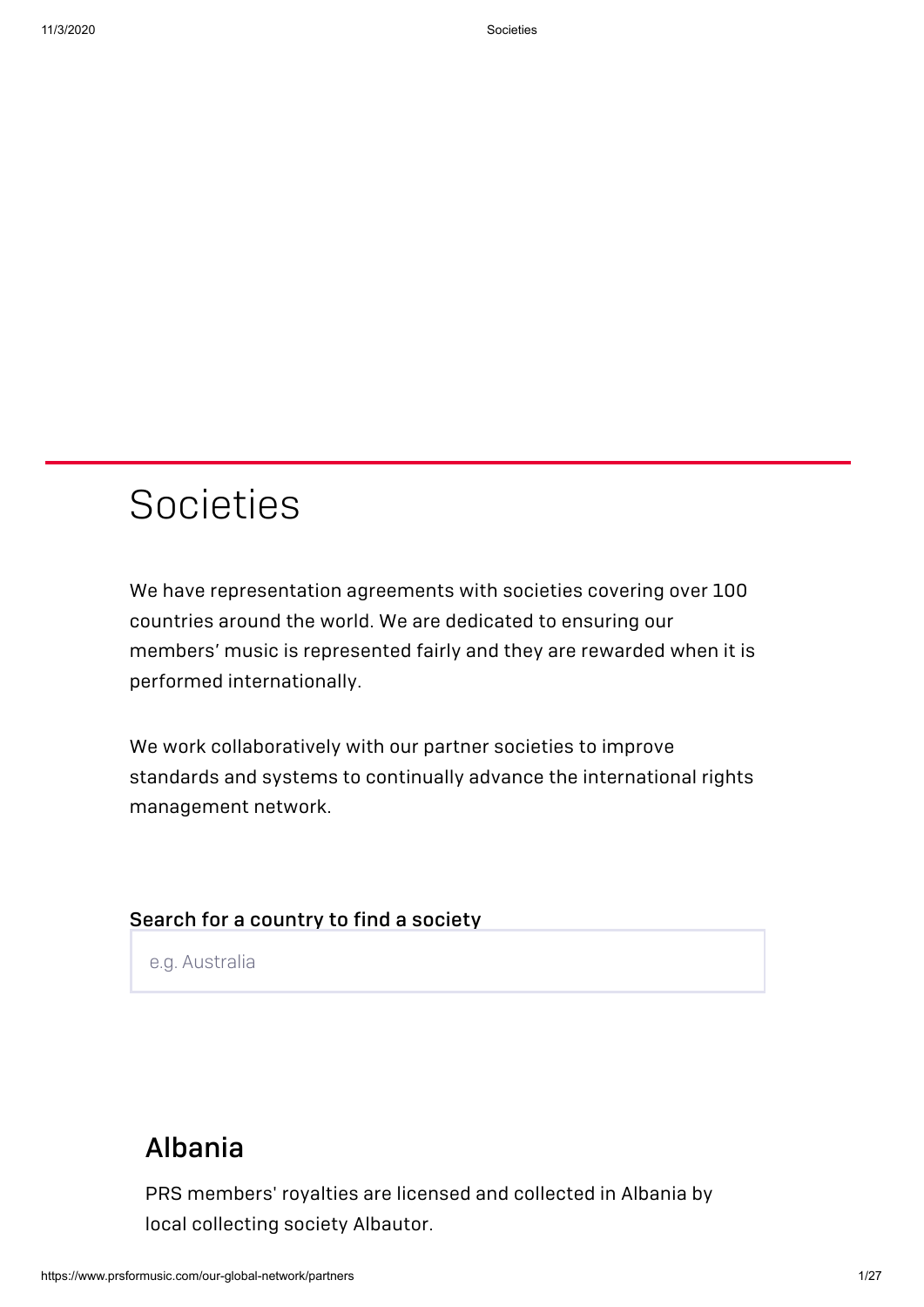# Societies

We have representation agreements with societies covering over 100 countries around the world. We are dedicated to ensuring our members' music is represented fairly and they are rewarded when it is performed internationally.

We work collaboratively with our partner societies to improve standards and systems to continually advance the international rights management network.

#### Search for a country to find a society

e.g. Australia

## [Albania](http://albautor.org/site/)

PRS members' royalties are licensed and collected in Albania by local collecting society Albautor.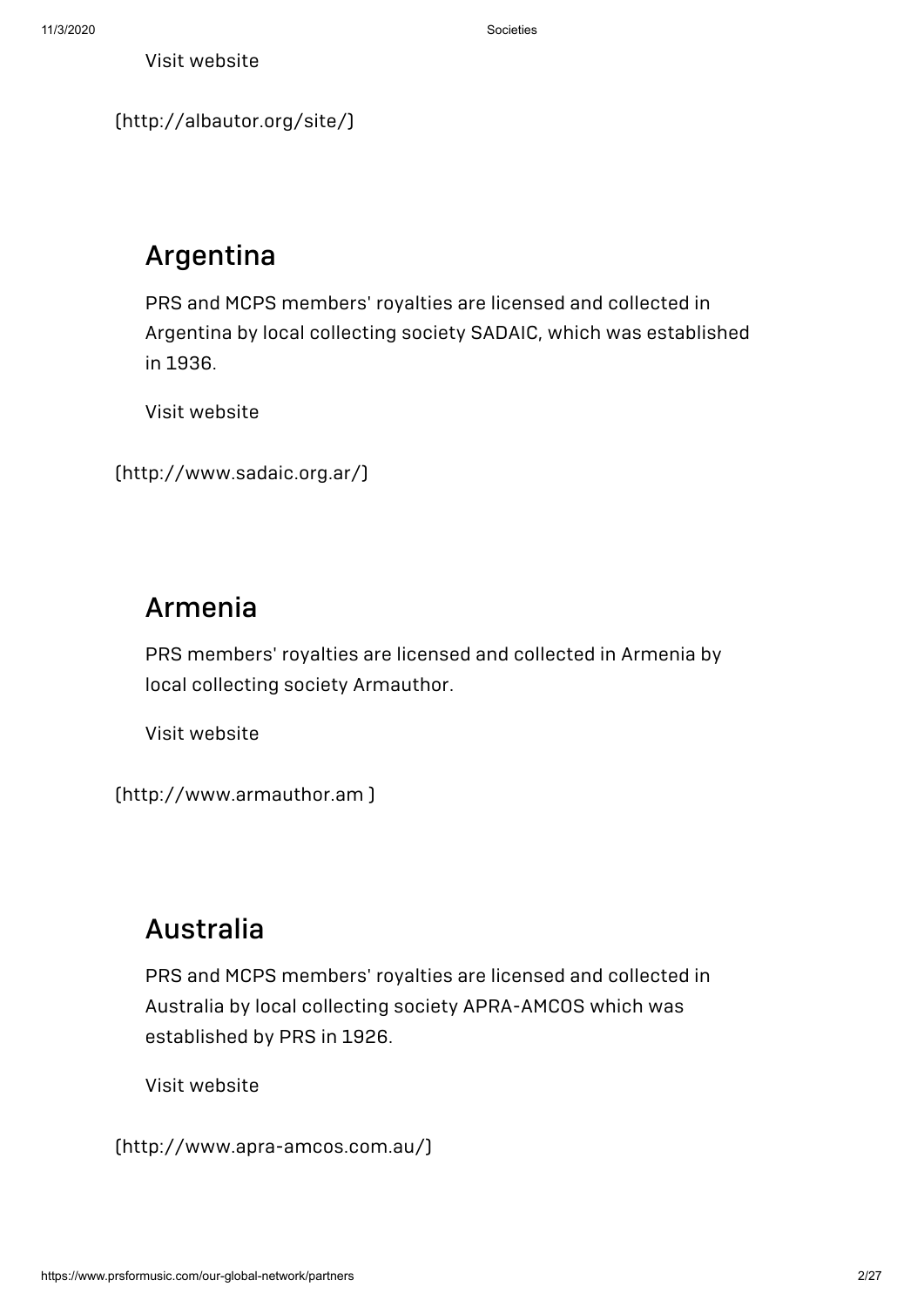[\(http://albautor.org/site/\)](http://albautor.org/site/)

## Argentina

PRS and MCPS members' royalties are licensed and collected in Argentina by local collecting society SADAIC, which was established in 1936.

Visit website

```
(http://www.sadaic.org.ar/)
```
#### Armenia

PRS members' royalties are licensed and collected in Armenia by local collecting society Armauthor.

Visit website

[\(http://www.armauthor.am](http://www.armauthor.am/) )

#### Australia

PRS and MCPS members' royalties are licensed and collected in Australia by local collecting society APRA-AMCOS which was established by PRS in 1926.

Visit website

[\(http://www.apra-amcos.com.au/\)](http://www.apra-amcos.com.au/)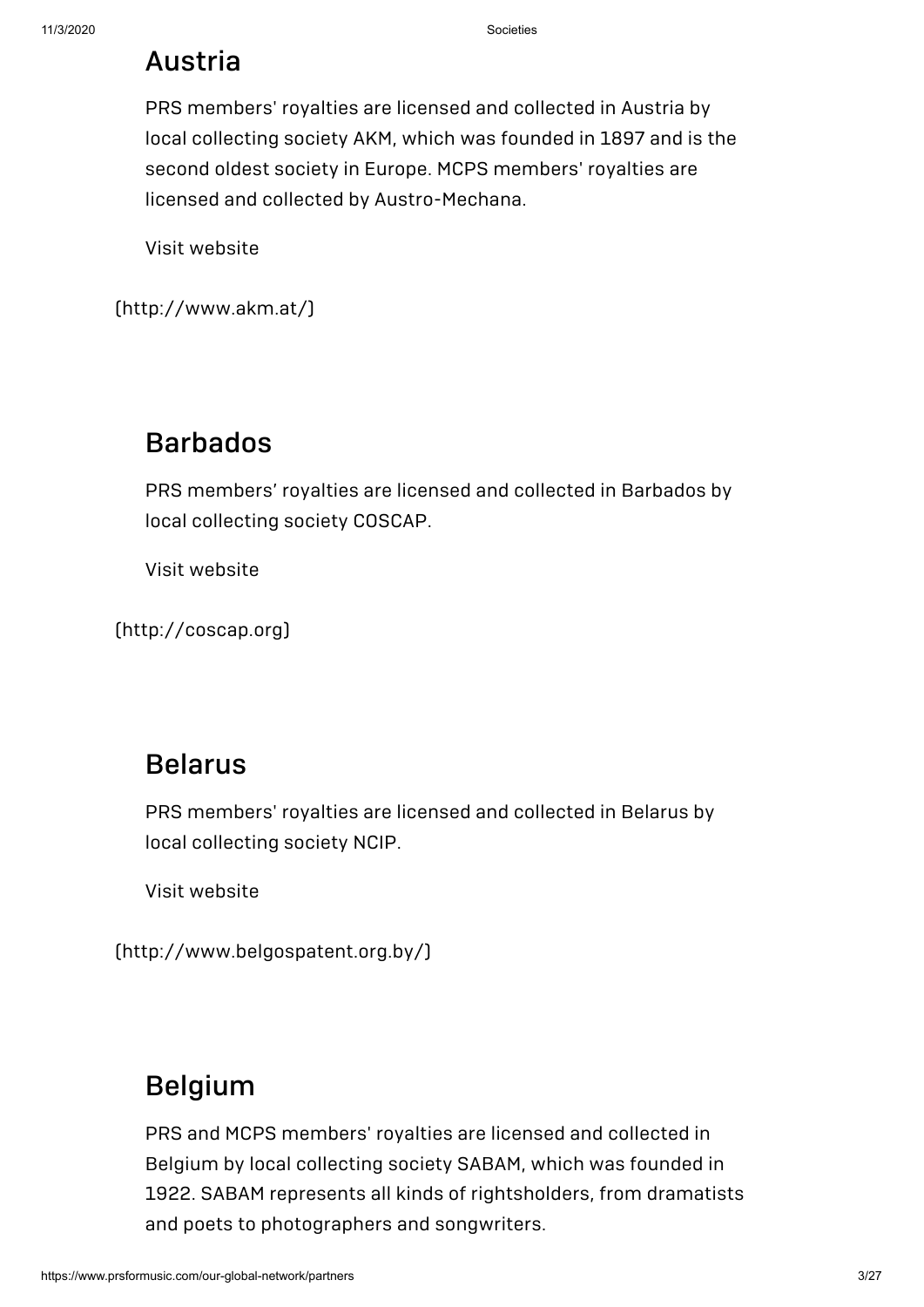## Austria

PRS members' royalties are licensed and collected in Austria by local collecting society AKM, which was founded in 1897 and is the second oldest society in Europe. MCPS members' royalties are licensed and collected by Austro-Mechana.

Visit website

[\(http://www.akm.at/\)](http://www.akm.at/)

### [Barbados](http://coscap.org/)

PRS members' royalties are licensed and collected in Barbados by local collecting society COSCAP.

Visit website

(http://coscap.org)

#### Belarus

PRS members' royalties are licensed and collected in Belarus by local collecting society NCIP.

Visit website

[\(http://www.belgospatent.org.by/\)](http://www.belgospatent.org.by/)

## [Belgium](http://www.sabam.be/)

PRS and MCPS members' royalties are licensed and collected in Belgium by local collecting society SABAM, which was founded in 1922. SABAM represents all kinds of rightsholders, from dramatists and poets to photographers and songwriters.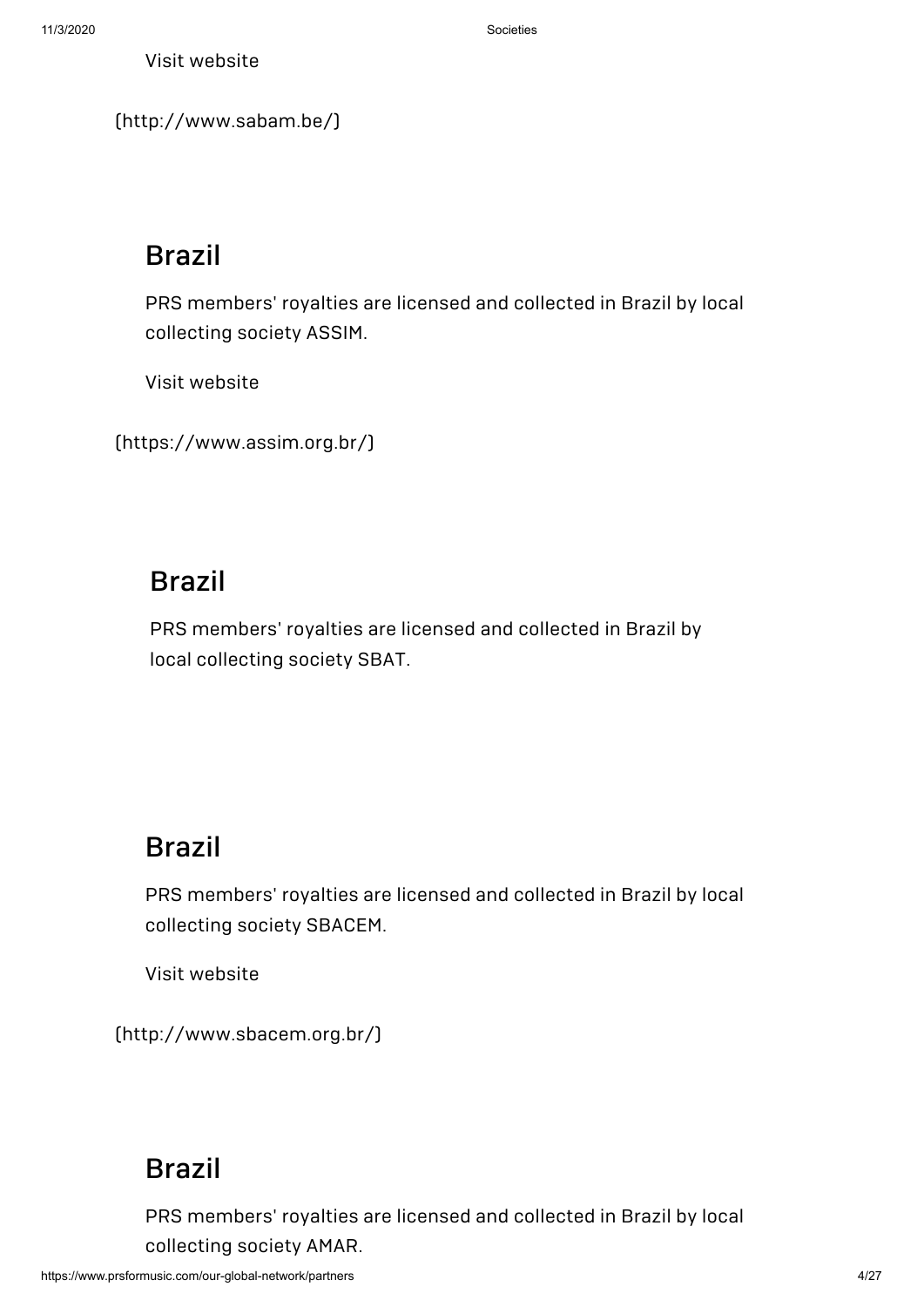[\(http://www.sabam.be/\)](http://www.sabam.be/)

## Brazil

PRS members' royalties are licensed and collected in Brazil by local collecting society ASSIM.

Visit website

[\(https://www.assim.org.br/\)](https://www.assim.org.br/)

#### Brazil

PRS members' royalties are licensed and collected in Brazil by local collecting society SBAT.

## Brazil

PRS members' royalties are licensed and collected in Brazil by local collecting society SBACEM.

Visit website

[\(http://www.sbacem.org.br/\)](http://www.sbacem.org.br/)

## [Brazil](http://www.amar.art.br/public_html/)

PRS members' royalties are licensed and collected in Brazil by local collecting society AMAR.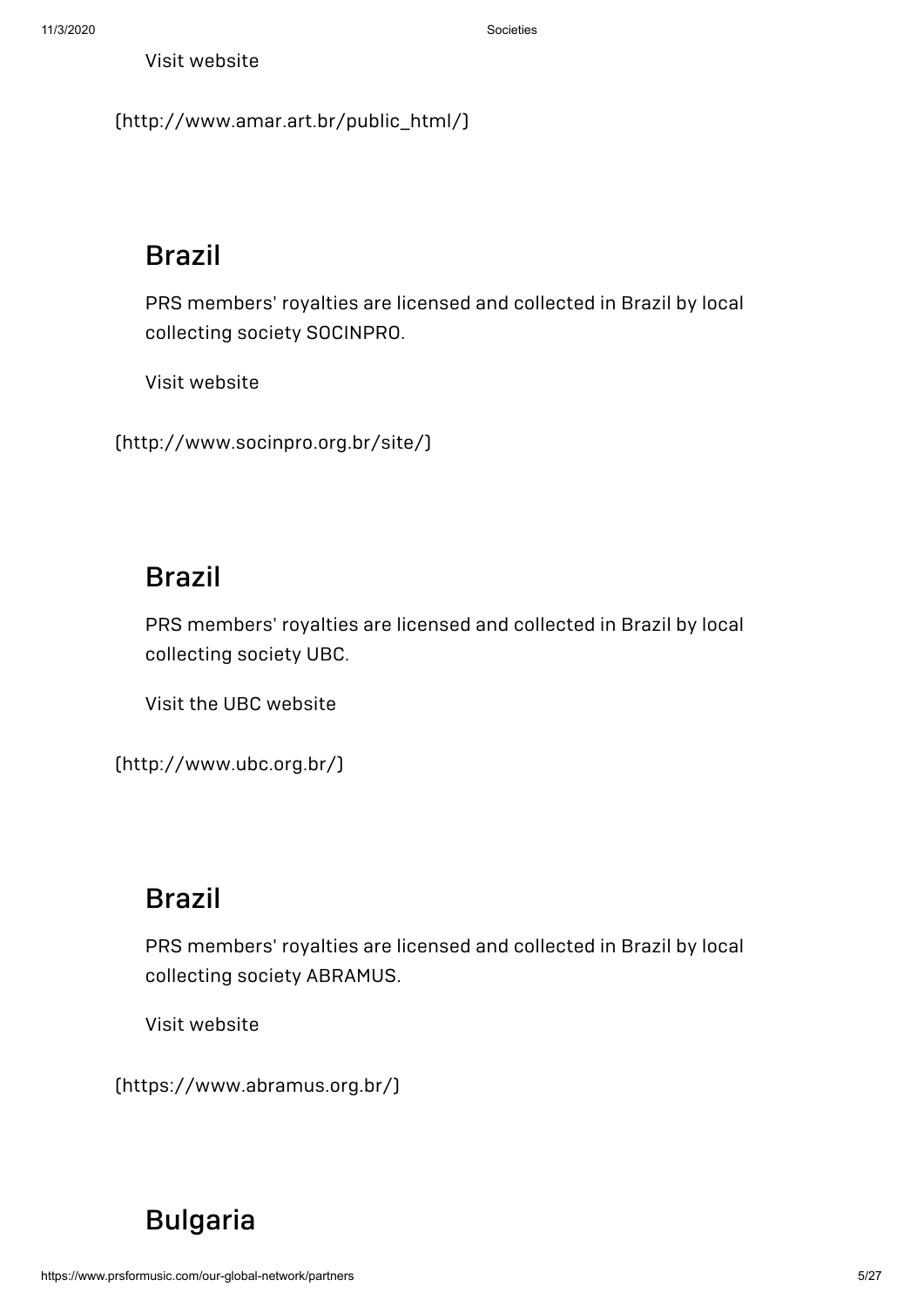[\(http://www.amar.art.br/public\\_html/\)](http://www.amar.art.br/public_html/)

## Brazil

PRS members' royalties are licensed and collected in Brazil by local collecting society SOCINPRO.

Visit website

[\(http://www.socinpro.org.br/site/\)](http://www.socinpro.org.br/site/)

## Brazil

PRS members' royalties are licensed and collected in Brazil by local collecting society UBC.

Visit the UBC website

[\(http://www.ubc.org.br/\)](http://www.ubc.org.br/)

## Brazil

PRS members' royalties are licensed and collected in Brazil by local collecting society ABRAMUS.

Visit website

[\(https://www.abramus.org.br/\)](https://www.abramus.org.br/)

## [Bulgaria](http://www.musicautor.org/)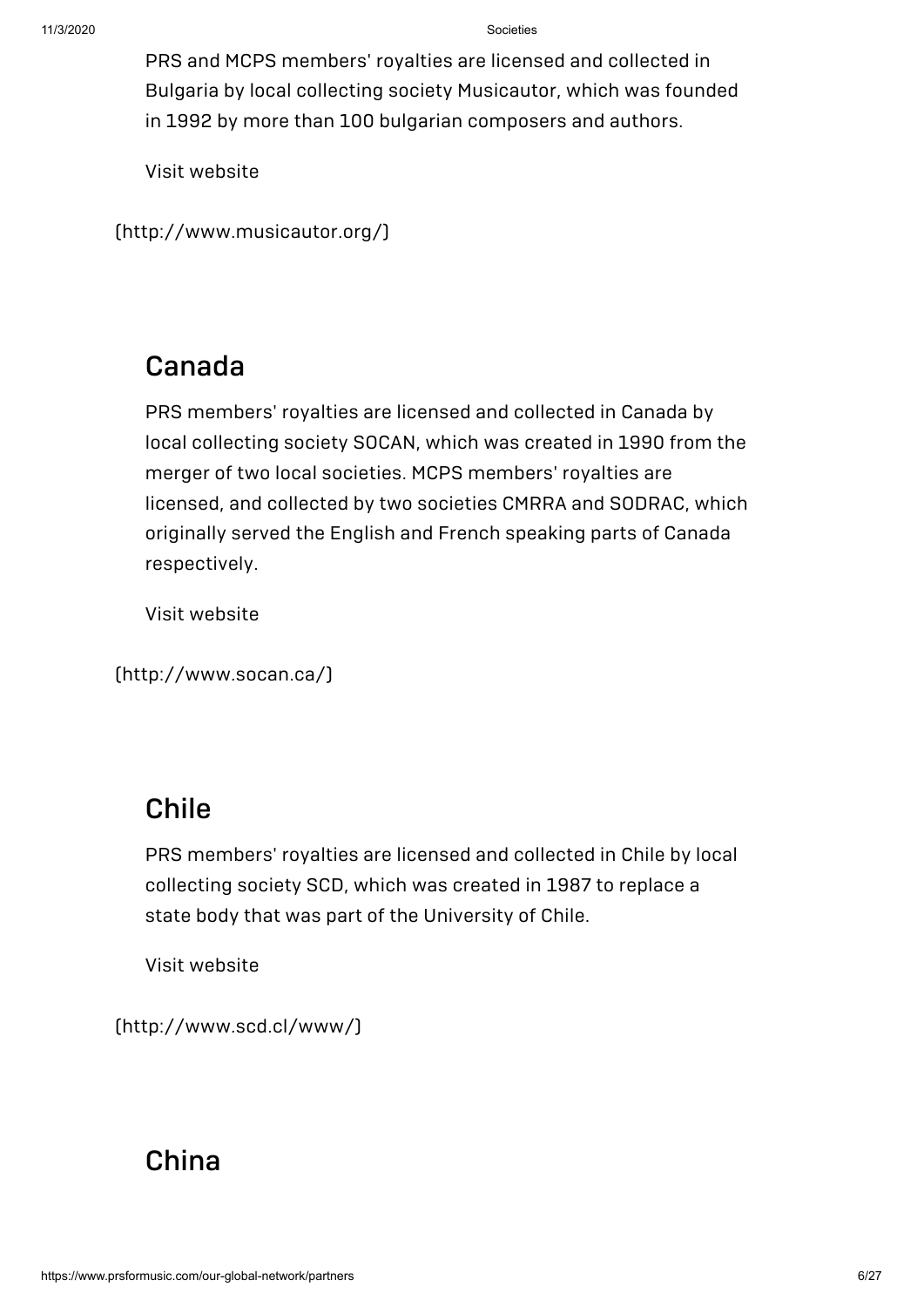PRS and MCPS members' royalties are licensed and collected in Bulgaria by local collecting society Musicautor, which was founded in 1992 by more than 100 bulgarian composers and authors.

Visit website

[\(http://www.musicautor.org/\)](http://www.musicautor.org/)

#### Canada

PRS members' royalties are licensed and collected in Canada by local collecting society SOCAN, which was created in 1990 from the merger of two local societies. MCPS members' royalties are licensed, and collected by two societies CMRRA and SODRAC, which originally served the English and French speaking parts of Canada respectively.

Visit website

[\(http://www.socan.ca/\)](http://www.socan.ca/)

### Chile

PRS members' royalties are licensed and collected in Chile by local collecting society SCD, which was created in 1987 to replace a state body that was part of the University of Chile.

Visit website

[\(http://www.scd.cl/www/\)](http://www.scd.cl/www/)

#### [China](http://www.mcsc.com.cn/)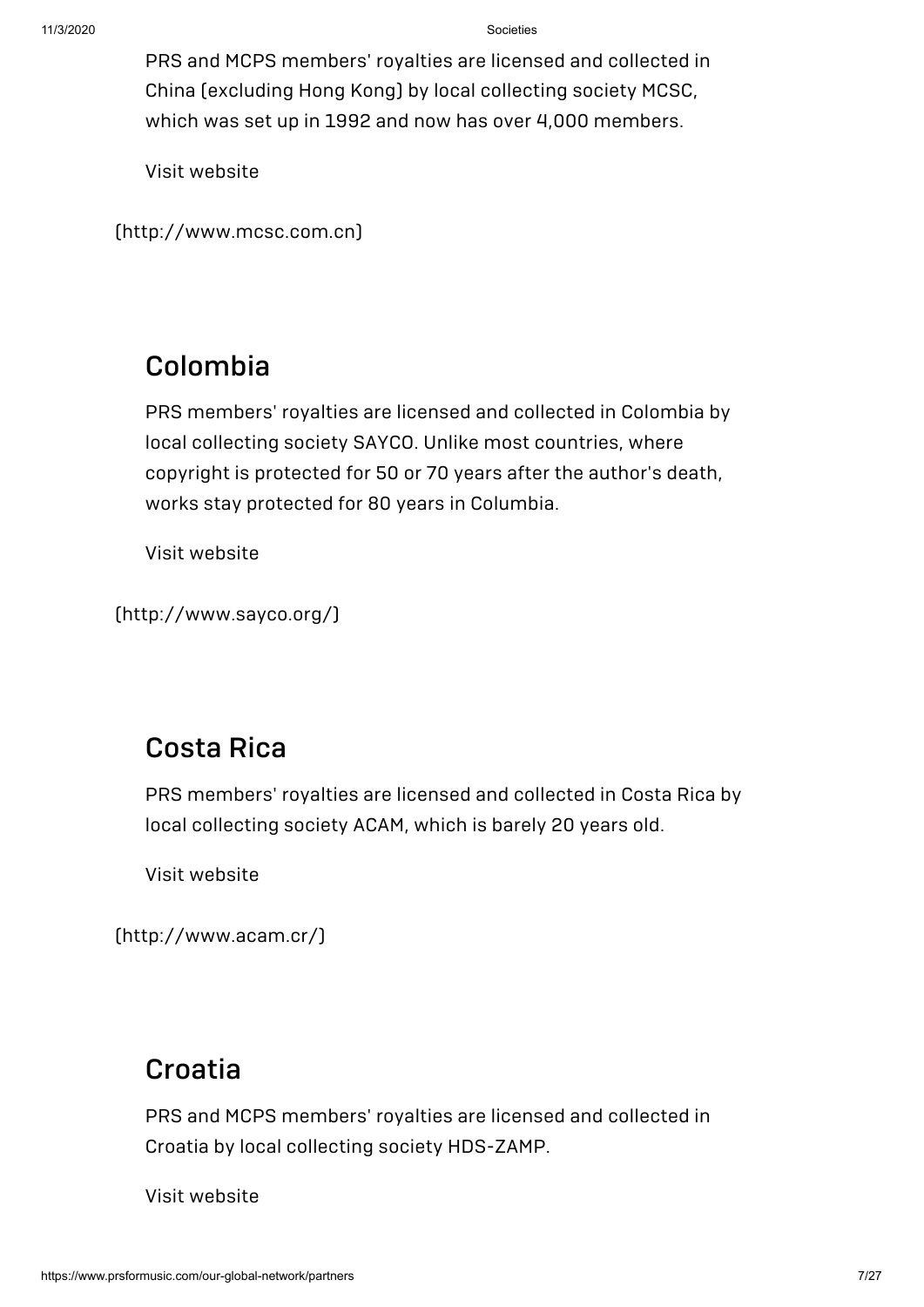PRS and MCPS members' royalties are licensed and collected in China (excluding Hong Kong) by local collecting society MCSC, which was set up in 1992 and now has over 4,000 members.

Visit website

[\(http://www.mcsc.com.cn\)](http://www.mcsc.com.cn/)

#### Colombia

PRS members' royalties are licensed and collected in Colombia by local collecting society SAYCO. Unlike most countries, where copyright is protected for 50 or 70 years after the author's death, works stay protected for 80 years in Columbia.

Visit website

[\(http://www.sayco.org/\)](http://www.sayco.org/)

## Costa Rica

PRS members' royalties are licensed and collected in Costa Rica by local collecting society ACAM, which is barely 20 years old.

Visit website

[\(http://www.acam.cr/\)](http://www.acam.cr/)

#### [Croatia](http://www.hds.hr/hds/hds_hr.htm)

PRS and MCPS members' royalties are licensed and collected in Croatia by local collecting society HDS-ZAMP.

Visit website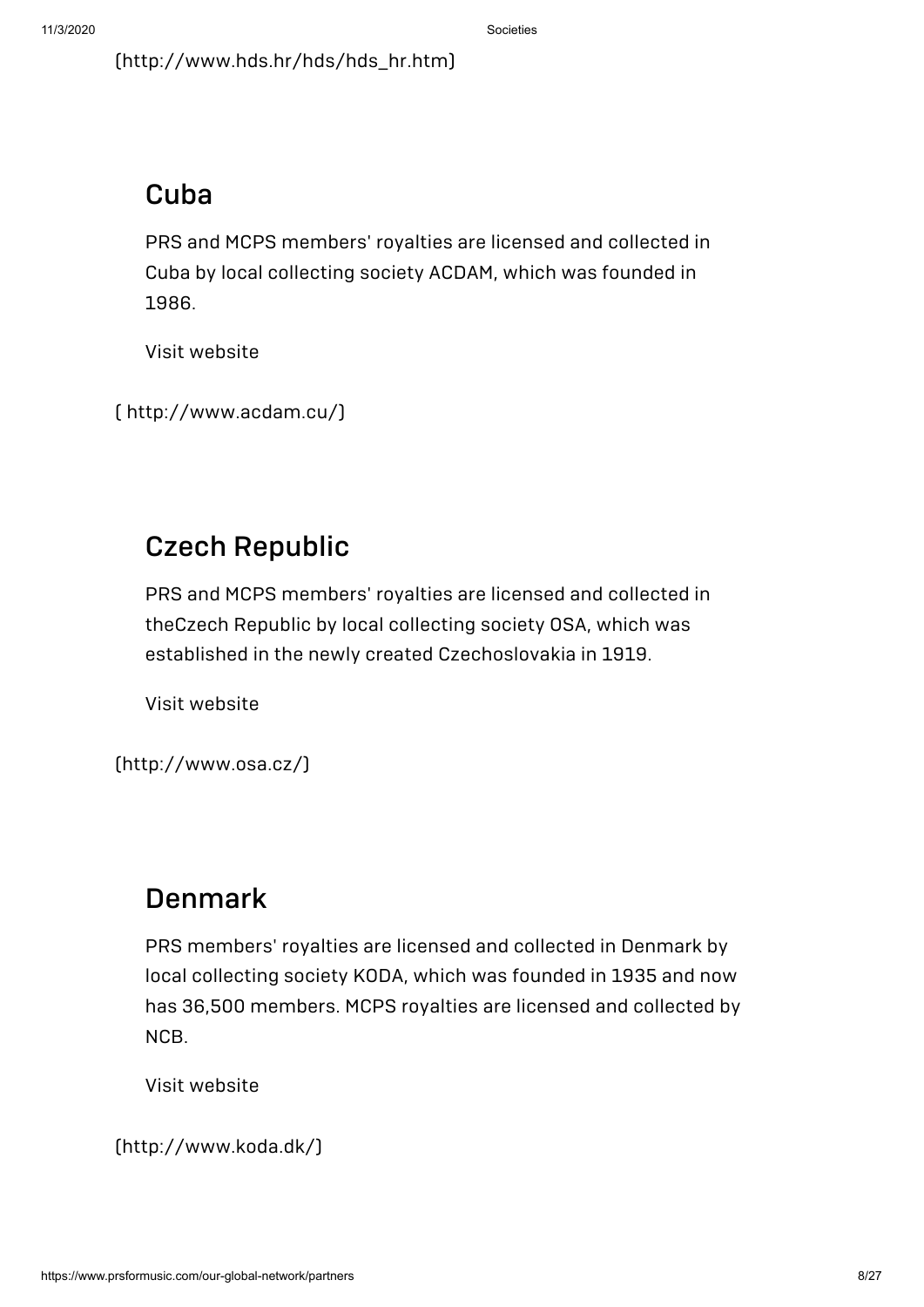[\(http://www.hds.hr/hds/hds\\_hr.htm\)](http://www.hds.hr/hds/hds_hr.htm)

#### Cuba

PRS and MCPS members' royalties are licensed and collected in Cuba by local collecting society ACDAM, which was founded in 1986.

Visit website

```
( http://www.acdam.cu/)
```
## Czech Republic

PRS and MCPS members' royalties are licensed and collected in theCzech Republic by local collecting society OSA, which was established in the newly created Czechoslovakia in 1919.

Visit website

[\(http://www.osa.cz/\)](http://www.osa.cz/)

#### Denmark

PRS members' royalties are licensed and collected in Denmark by local collecting society KODA, which was founded in 1935 and now has 36,500 members. MCPS royalties are licensed and collected by NCB.

Visit website

```
(http://www.koda.dk/)
```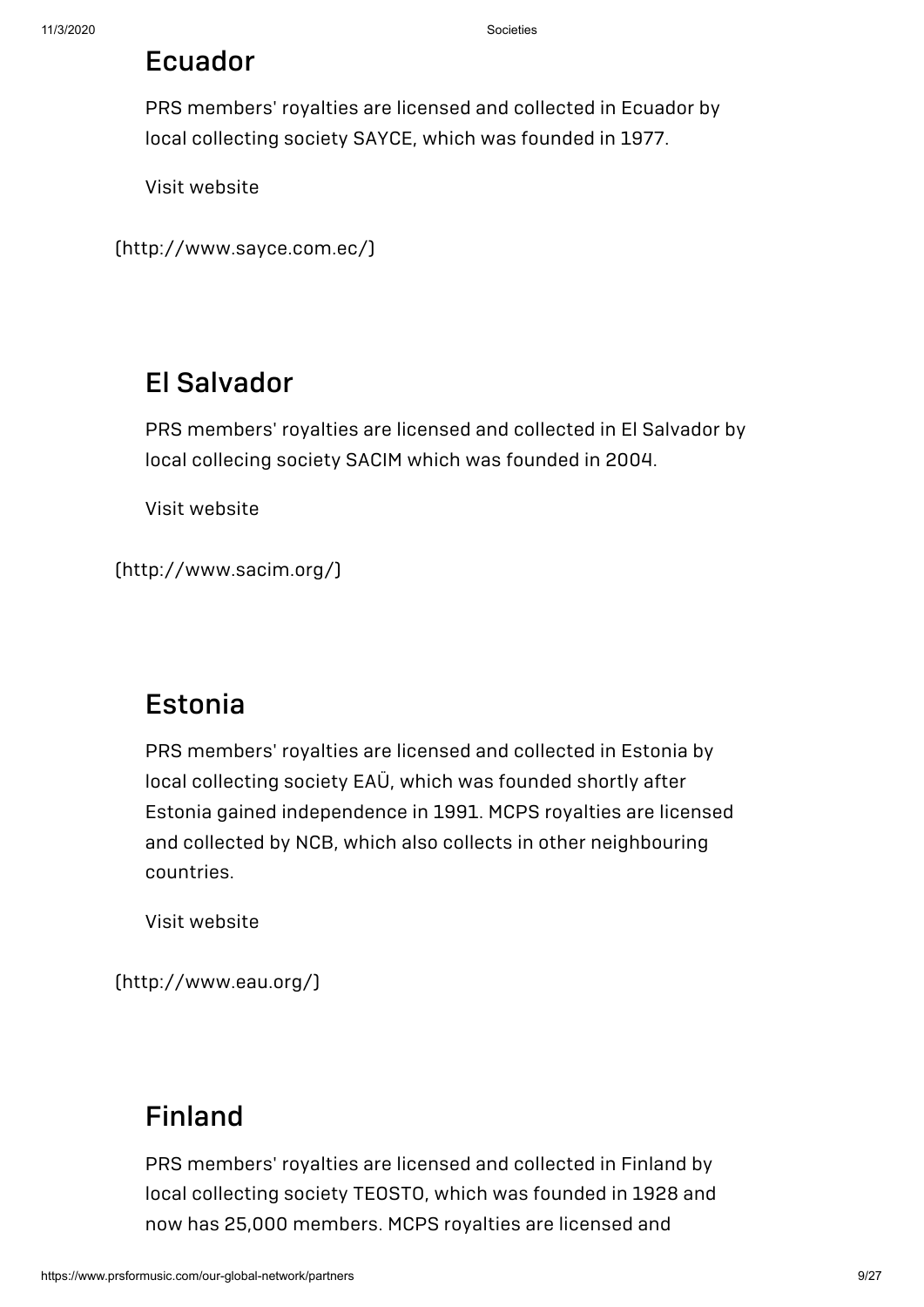#### Ecuador

PRS members' royalties are licensed and collected in Ecuador by local collecting society SAYCE, which was founded in 1977.

Visit website

```
(http://www.sayce.com.ec/)
```
#### El Salvador

PRS members' royalties are licensed and collected in El Salvador by local collecing society SACIM which was founded in 2004.

Visit website

[\(http://www.sacim.org/\)](http://www.sacim.org/)

#### Estonia

PRS members' royalties are licensed and collected in Estonia by local collecting society EAÜ, which was founded shortly after Estonia gained independence in 1991. MCPS royalties are licensed and collected by NCB, which also collects in other neighbouring countries.

Visit website

[\(http://www.eau.org/\)](http://www.eau.org/)

#### [Finland](http://www.teosto.fi/)

PRS members' royalties are licensed and collected in Finland by local collecting society TEOSTO, which was founded in 1928 and now has 25,000 members. MCPS royalties are licensed and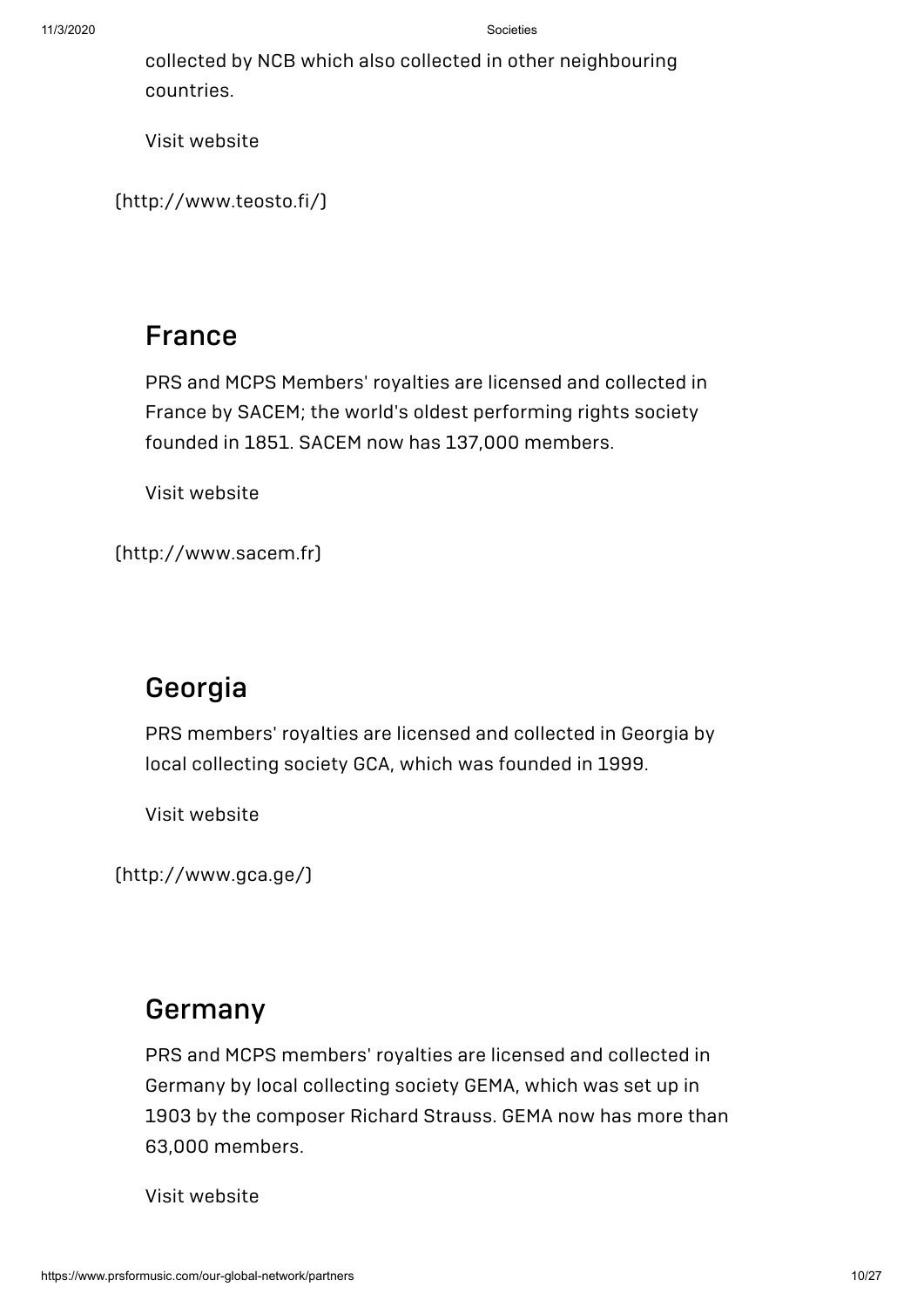collected by NCB which also collected in other neighbouring countries.

Visit website

[\(http://www.teosto.fi/\)](http://www.teosto.fi/)

#### France

PRS and MCPS Members' royalties are licensed and collected in France by SACEM; the world's oldest performing rights society founded in 1851. SACEM now has 137,000 members.

Visit website

[\(http://www.sacem.fr\)](http://www.sacem.fr/)

#### Georgia

PRS members' royalties are licensed and collected in Georgia by local collecting society GCA, which was founded in 1999.

Visit website

[\(http://www.gca.ge/\)](http://www.gca.ge/)

#### [Germany](https://www.gema.de/)

PRS and MCPS members' royalties are licensed and collected in Germany by local collecting society GEMA, which was set up in 1903 by the composer Richard Strauss. GEMA now has more than 63,000 members.

Visit website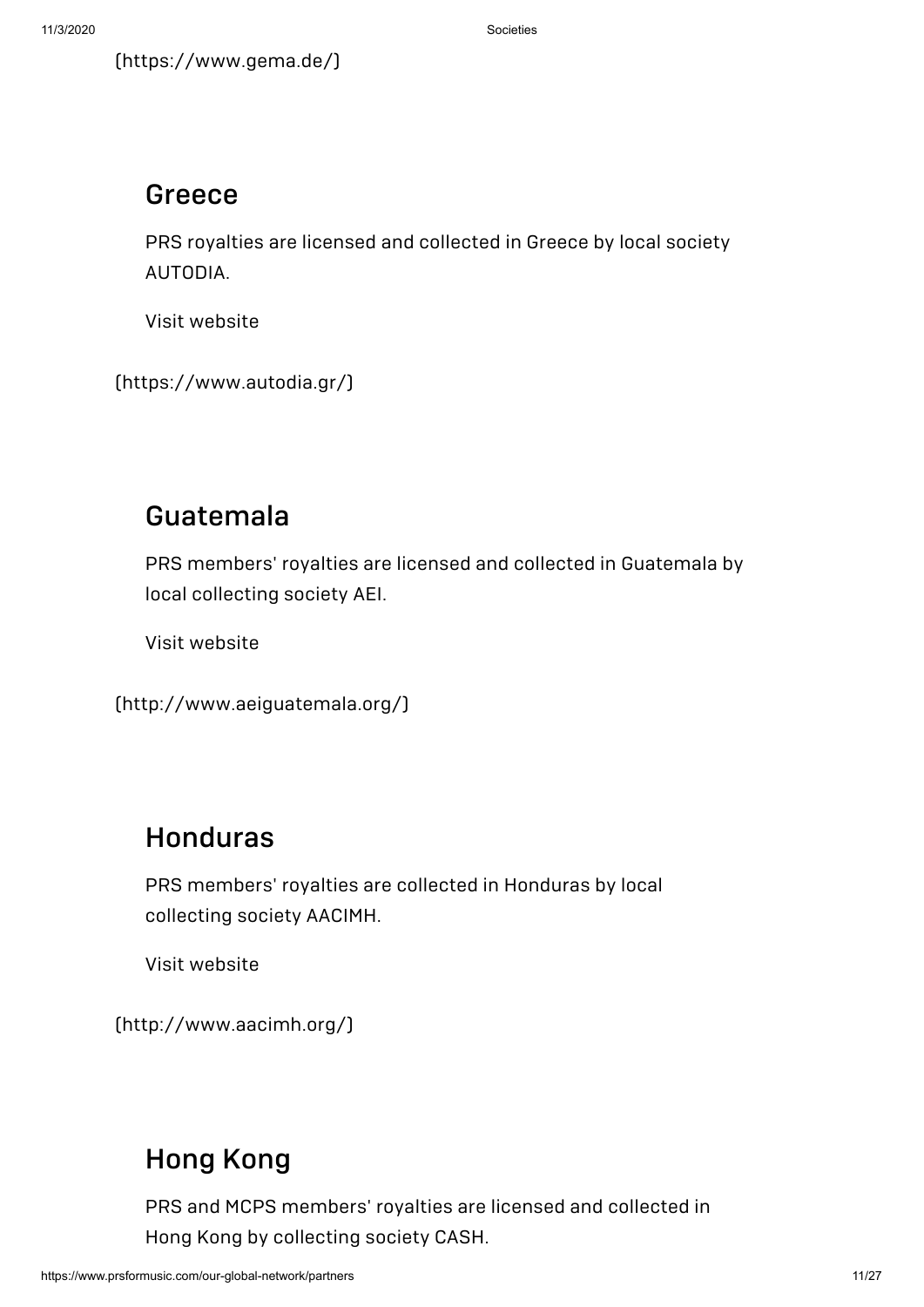#### Greece

PRS royalties are licensed and collected in Greece by local society AUTODIA.

Visit website

[\(https://www.autodia.gr/\)](https://www.autodia.gr/)

## Guatemala

PRS members' royalties are licensed and collected in Guatemala by local collecting society AEI.

Visit website

[\(http://www.aeiguatemala.org/\)](http://www.aeiguatemala.org/)

## Honduras

PRS members' royalties are collected in Honduras by local collecting society AACIMH.

Visit website

[\(http://www.aacimh.org/\)](http://www.aacimh.org/)

## [Hong](http://www.cash.org.hk/) Kong

PRS and MCPS members' royalties are licensed and collected in Hong Kong by collecting society CASH.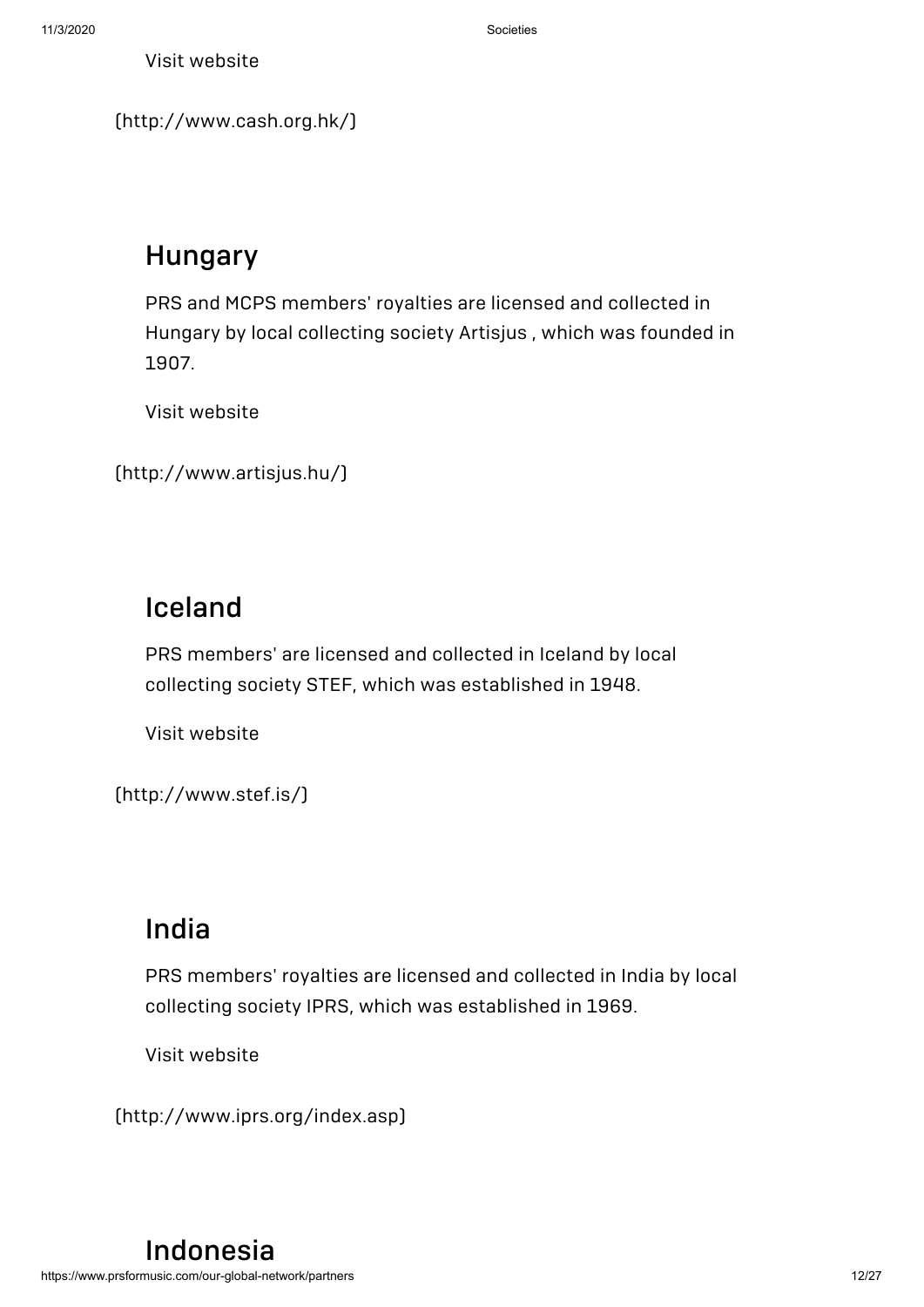[\(http://www.cash.org.hk/\)](http://www.cash.org.hk/)

## Hungary

PRS and MCPS members' royalties are licensed and collected in Hungary by local collecting society Artisjus , which was founded in 1907.

Visit website

```
(http://www.artisjus.hu/)
```
### Iceland

PRS members' are licensed and collected in Iceland by local collecting society STEF, which was established in 1948.

Visit website

[\(http://www.stef.is/\)](http://www.stef.is/)

#### India

PRS members' royalties are licensed and collected in India by local collecting society IPRS, which was established in 1969.

Visit website

[\(http://www.iprs.org/index.asp\)](http://www.iprs.org/index.asp)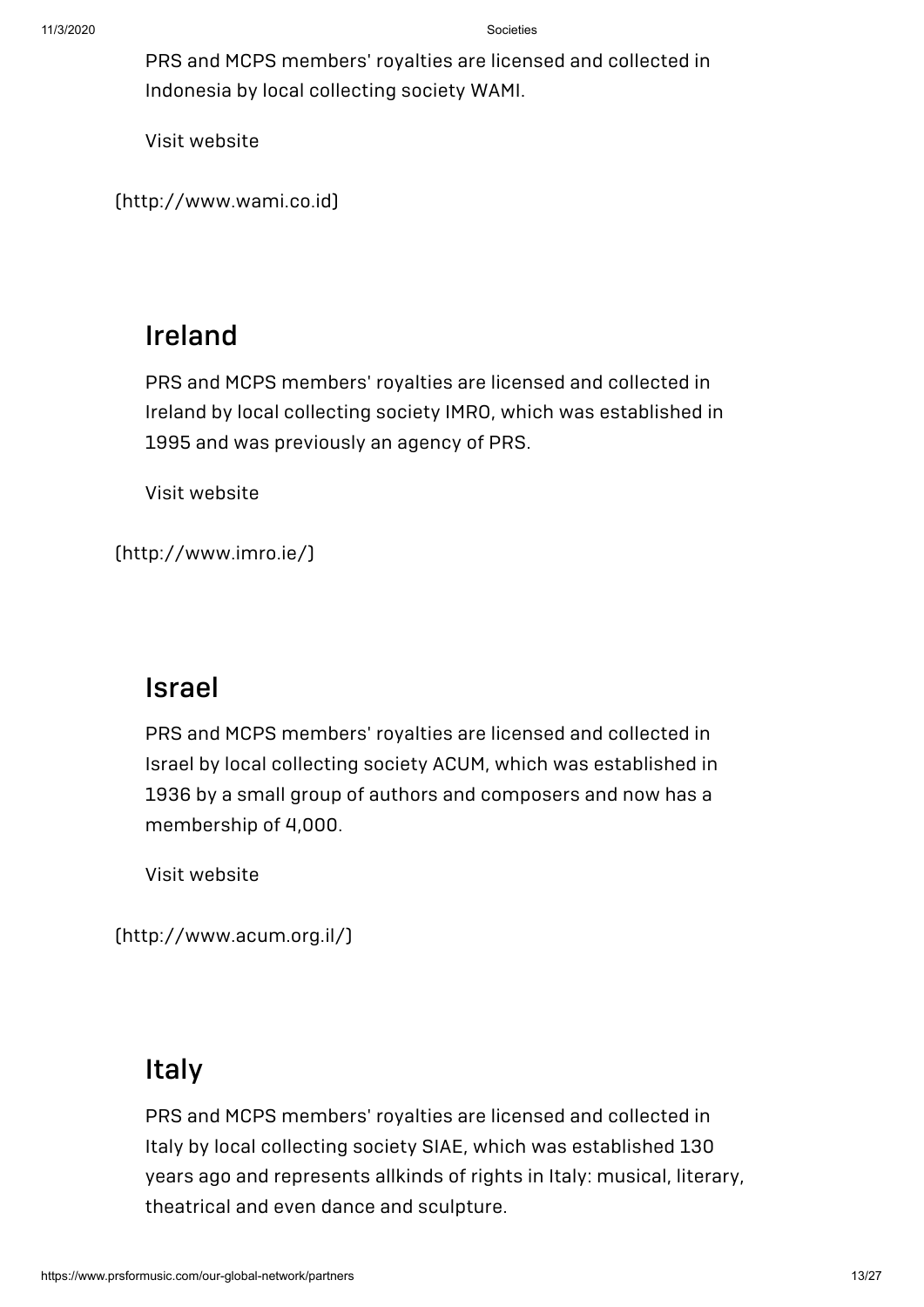PRS and MCPS members' royalties are licensed and collected in Indonesia by local collecting society WAMI.

Visit website

[\(http://www.wami.co.id\)](http://www.wami.co.id/)

#### Ireland

PRS and MCPS members' royalties are licensed and collected in Ireland by local collecting society IMRO, which was established in 1995 and was previously an agency of PRS.

Visit website

[\(http://www.imro.ie/\)](http://www.imro.ie/)

#### Israel

PRS and MCPS members' royalties are licensed and collected in Israel by local collecting society ACUM, which was established in 1936 by a small group of authors and composers and now has a membership of 4,000.

Visit website

[\(http://www.acum.org.il/\)](http://www.acum.org.il/)

#### Italy

PRS and MCPS members' royalties are licensed and collected in Italy by local collecting society SIAE, which was [established](http://www.siae.it/) 130 years ago and represents allkinds of rights in Italy: musical, literary, theatrical and even dance and sculpture.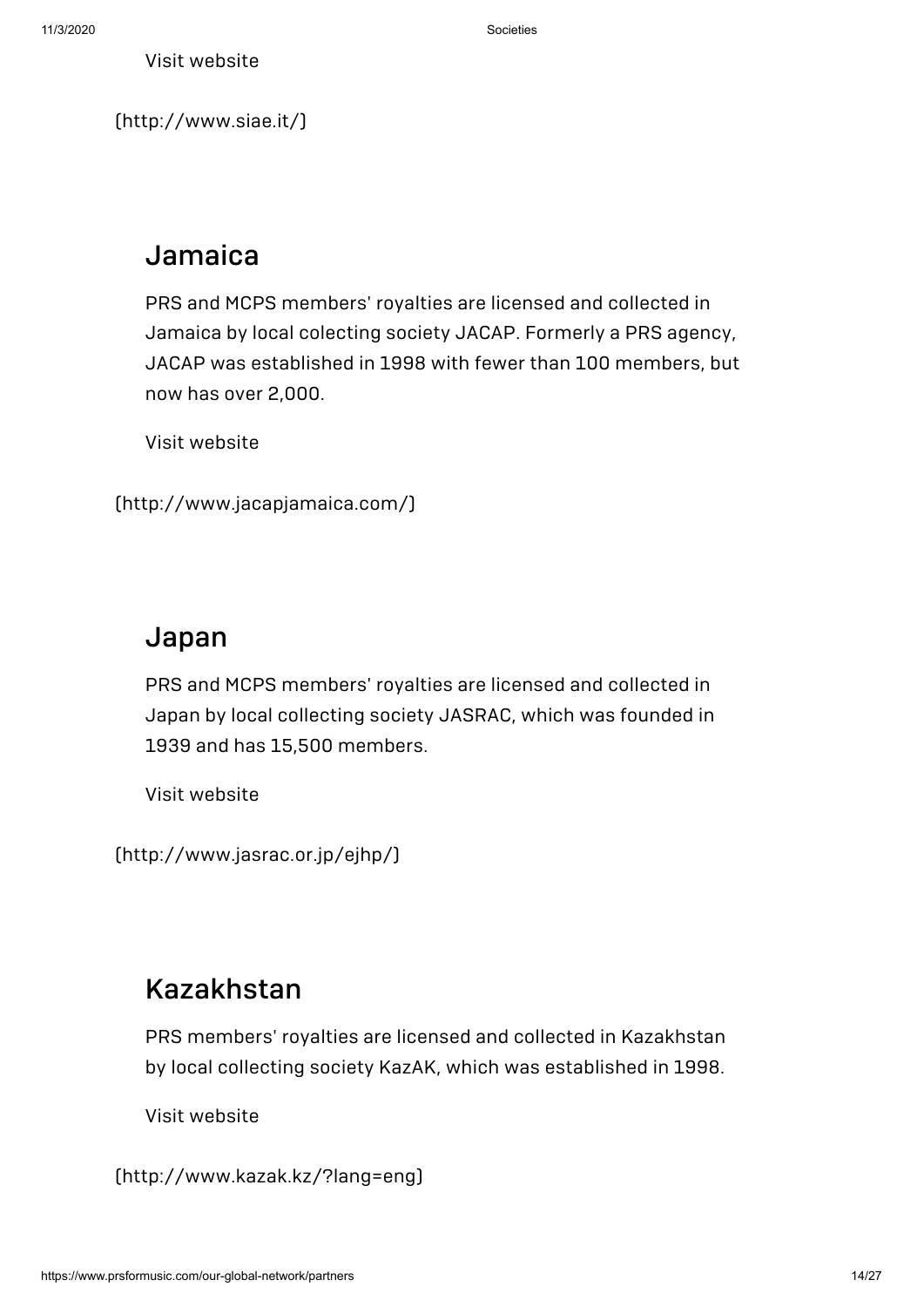[\(http://www.siae.it/\)](http://www.siae.it/)

## Jamaica

PRS and MCPS members' royalties are licensed and collected in Jamaica by local colecting society JACAP. Formerly a PRS agency, JACAP was established in 1998 with fewer than 100 members, but now has over 2,000.

Visit website

```
(http://www.jacapjamaica.com/)
```
#### Japan

PRS and MCPS members' royalties are licensed and collected in Japan by local collecting society JASRAC, which was founded in 1939 and has 15,500 members.

Visit website

[\(http://www.jasrac.or.jp/ejhp/\)](http://www.jasrac.or.jp/ejhp/)

## Kazakhstan

PRS members' royalties are licensed and collected in Kazakhstan by local collecting society KazAK, which was established in 1998.

Visit website

[\(http://www.kazak.kz/?lang=eng\)](http://www.kazak.kz/?lang=eng)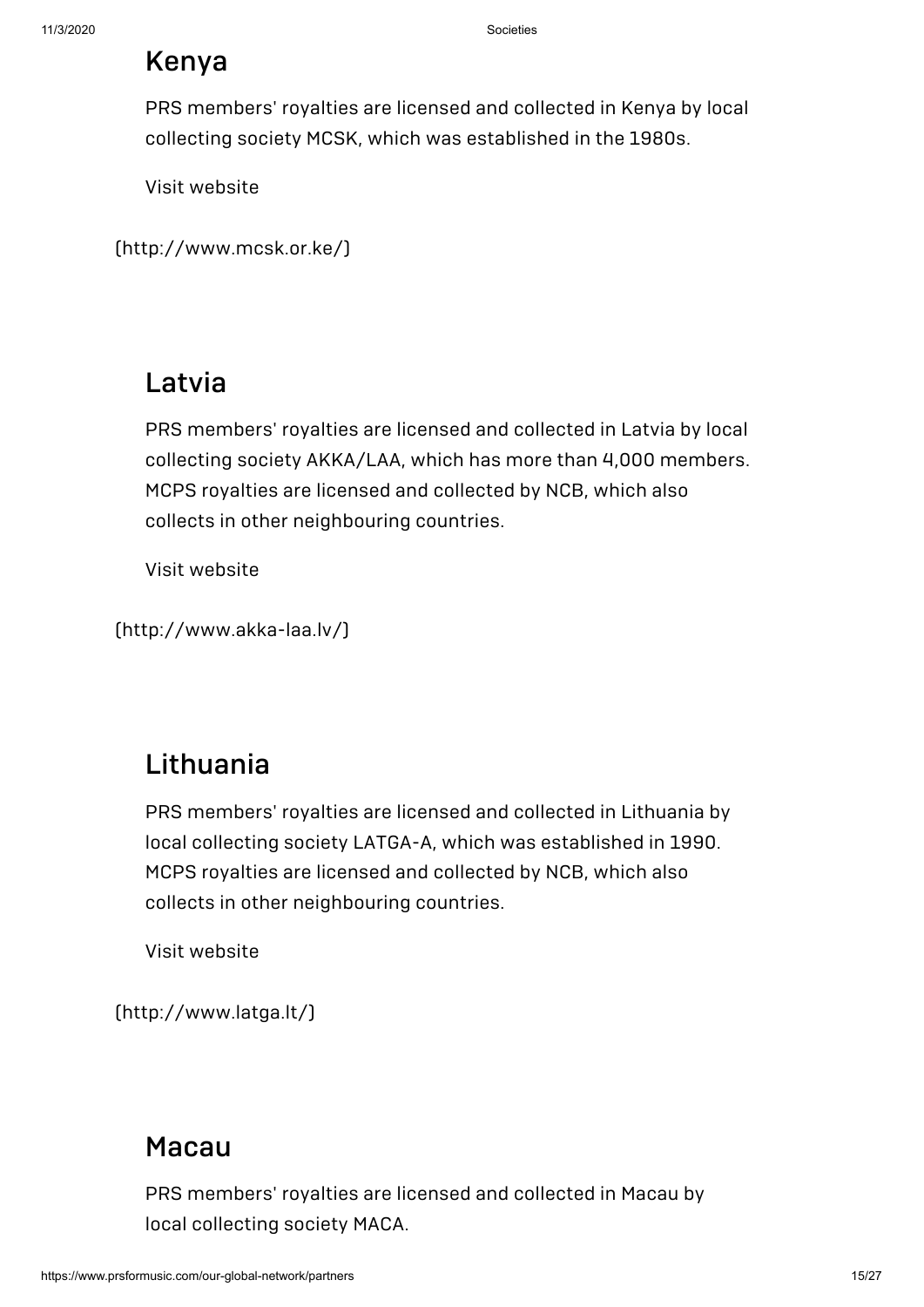## Kenya

PRS members' royalties are licensed and collected in Kenya by local collecting society MCSK, which was established in the 1980s.

Visit website

[\(http://www.mcsk.or.ke/\)](http://www.mcsk.or.ke/)

## Latvia

PRS members' royalties are licensed and collected in Latvia by local collecting society AKKA/LAA, which has more than 4,000 members. MCPS royalties are licensed and collected by NCB, which also collects in other neighbouring countries.

Visit website

[\(http://www.akka-laa.lv/\)](http://www.akka-laa.lv/)

## Lithuania

PRS members' royalties are licensed and collected in Lithuania by local collecting society LATGA-A, which was established in 1990. MCPS royalties are licensed and collected by NCB, which also collects in other neighbouring countries.

Visit website

[\(http://www.latga.lt/\)](http://www.latga.lt/)

#### [Macau](http://www.maca.org.mo/en/)

PRS members' royalties are licensed and collected in Macau by local collecting society MACA.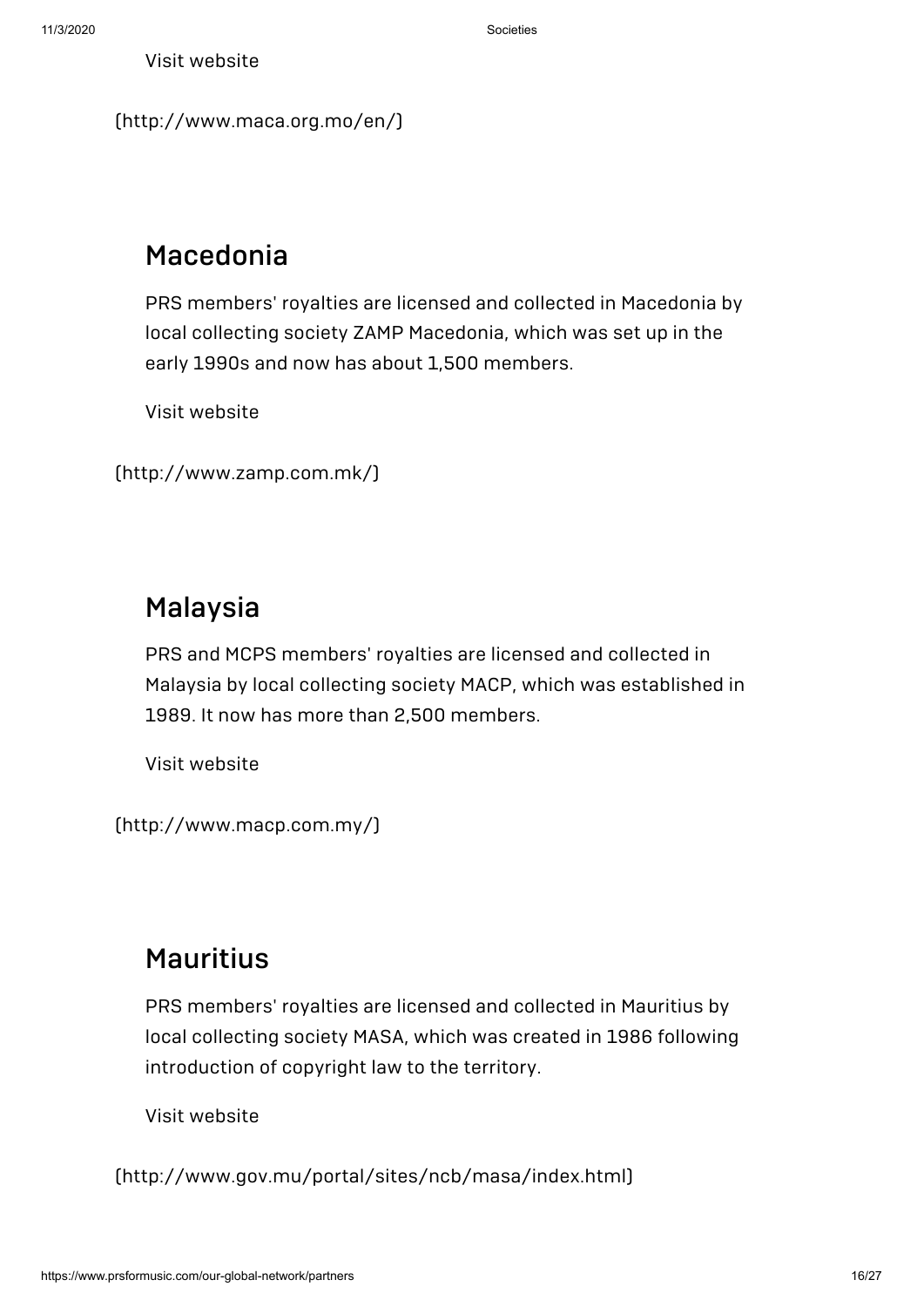```
(http://www.maca.org.mo/en/)
```
## Macedonia

PRS members' royalties are licensed and collected in Macedonia by local collecting society ZAMP Macedonia, which was set up in the early 1990s and now has about 1,500 members.

Visit website

```
(http://www.zamp.com.mk/)
```
## Malaysia

PRS and MCPS members' royalties are licensed and collected in Malaysia by local collecting society MACP, which was established in 1989. It now has more than 2,500 members.

Visit website

[\(http://www.macp.com.my/\)](http://www.macp.com.my/)

## Mauritius

PRS members' royalties are licensed and collected in Mauritius by local collecting society MASA, which was created in 1986 following introduction of copyright law to the territory.

Visit website

[\(http://www.gov.mu/portal/sites/ncb/masa/index.html\)](http://www.gov.mu/portal/sites/ncb/masa/index.html)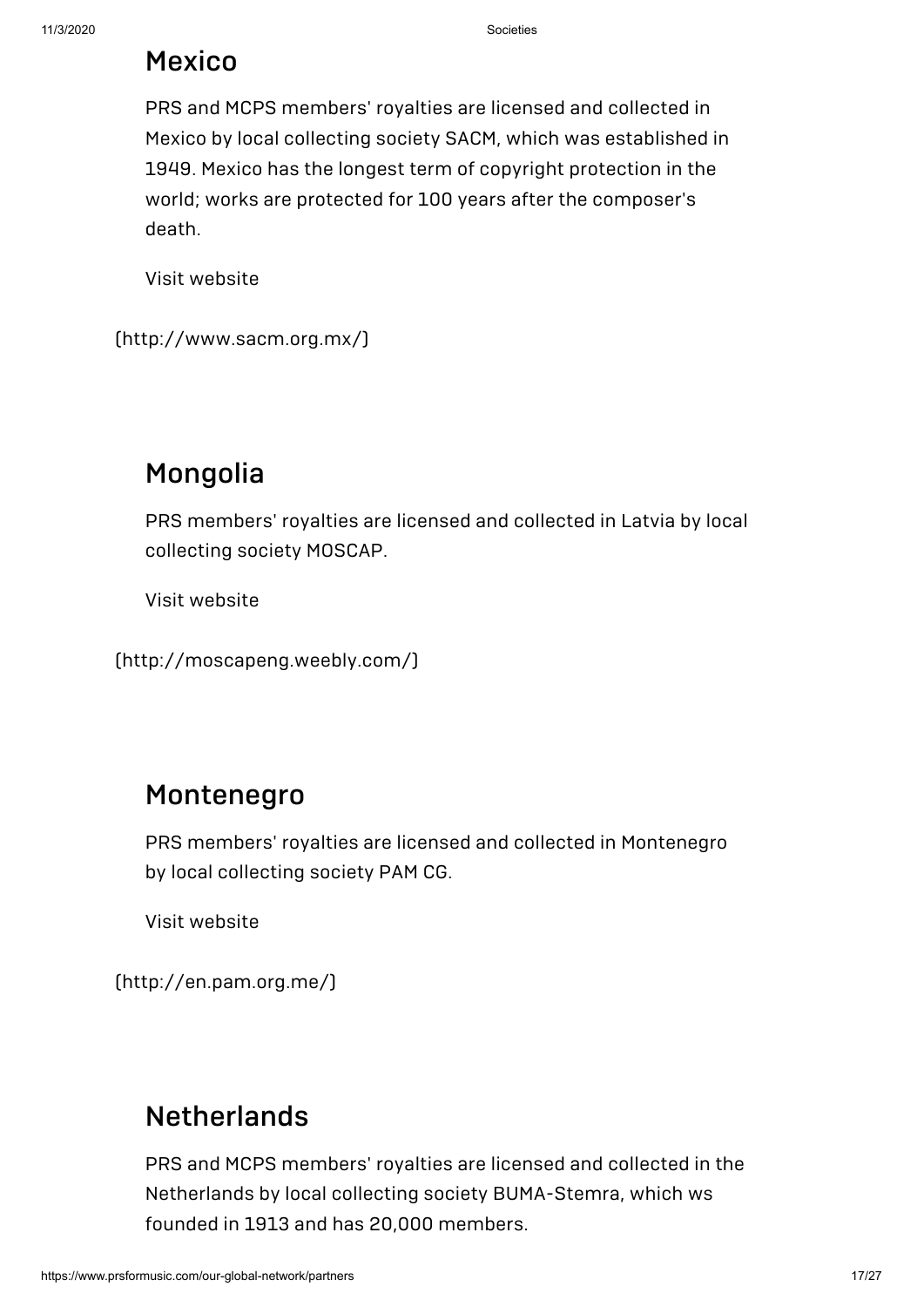### Mexico

PRS and MCPS members' royalties are licensed and collected in Mexico by local collecting society SACM, which was established in 1949. Mexico has the longest term of copyright protection in the world; works are protected for 100 years after the composer's death.

Visit website

[\(http://www.sacm.org.mx/\)](http://www.sacm.org.mx/)

## Mongolia

PRS members' royalties are licensed and collected in Latvia by local collecting society MOSCAP.

Visit website

[\(http://moscapeng.weebly.com/\)](http://moscapeng.weebly.com/)

#### [Montenegro](http://en.pam.org.me/)

PRS members' royalties are licensed and collected in Montenegro by local collecting society PAM CG.

Visit website

(http://en.pam.org.me/)

## **[Netherlands](http://www.bumastemra.nl/)**

PRS and MCPS members' royalties are licensed and collected in the Netherlands by local collecting society BUMA-Stemra, which ws founded in 1913 and has 20,000 members.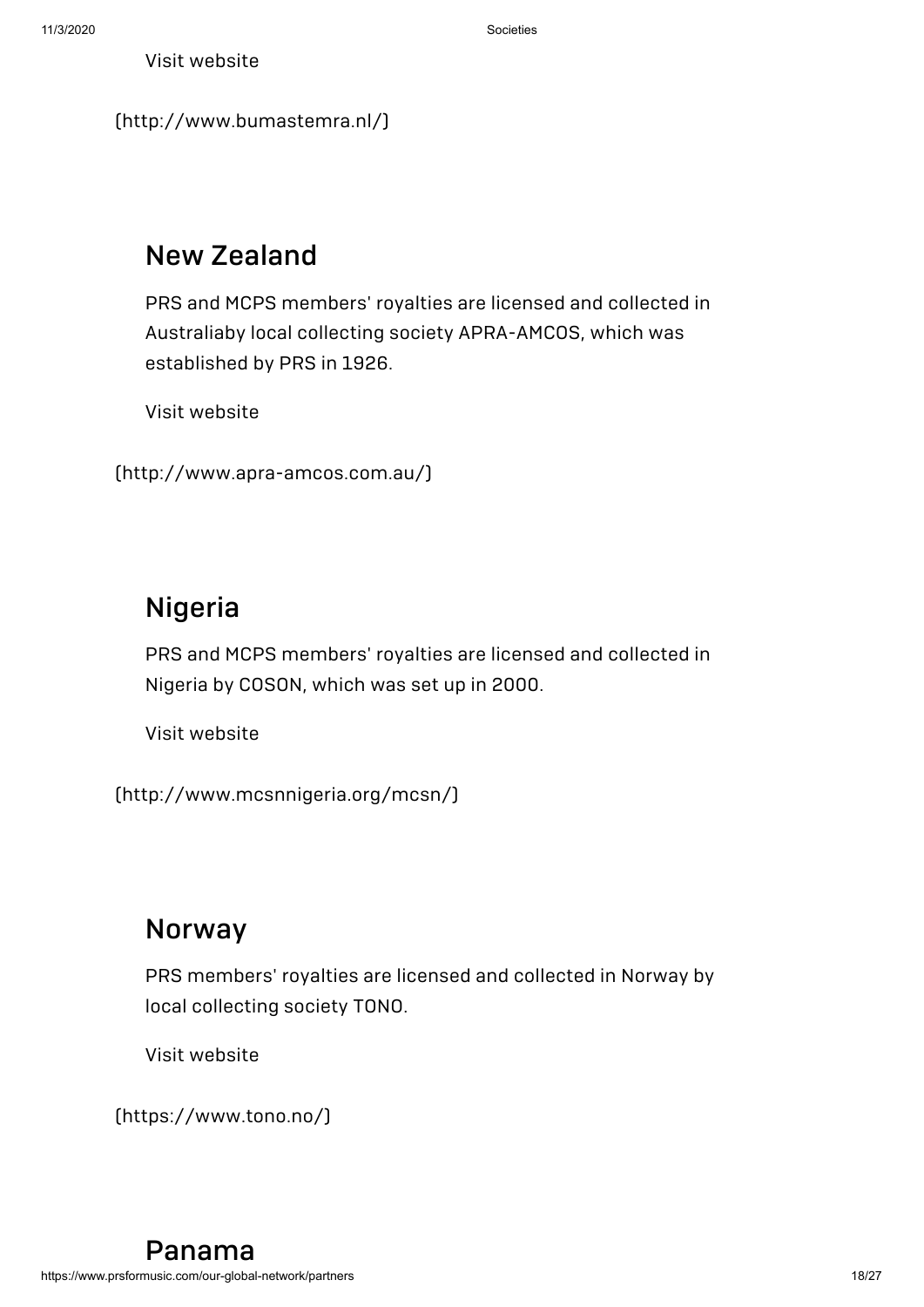```
(http://www.bumastemra.nl/)
```
## New Zealand

PRS and MCPS members' royalties are licensed and collected in Australiaby local collecting society APRA-AMCOS, which was established by PRS in 1926.

Visit website

```
(http://www.apra-amcos.com.au/)
```
## Nigeria

PRS and MCPS members' royalties are licensed and collected in Nigeria by COSON, which was set up in 2000.

Visit website

[\(http://www.mcsnnigeria.org/mcsn/\)](http://www.mcsnnigeria.org/mcsn/)

#### Norway

PRS members' royalties are licensed and collected in Norway by local collecting society TONO.

Visit website

[\(https://www.tono.no/\)](https://www.tono.no/)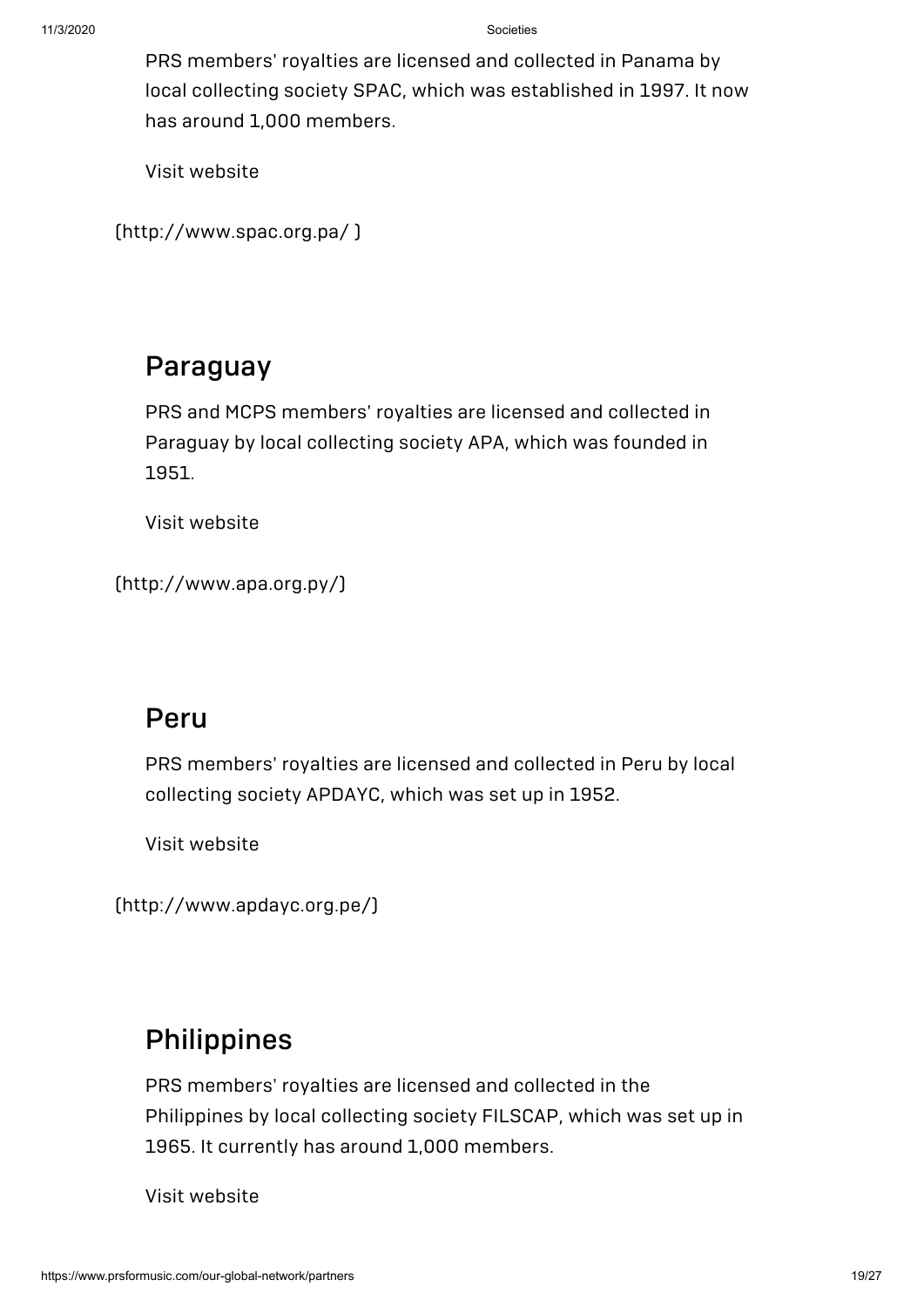PRS members' royalties are licensed and collected in Panama by local collecting society SPAC, which was established in 1997. It now has around 1,000 members.

Visit website

```
(http://www.spac.org.pa/ )
```
#### Paraguay

PRS and MCPS members' royalties are licensed and collected in Paraguay by local collecting society APA, which was founded in 1951.

Visit website

[\(http://www.apa.org.py/\)](http://www.apa.org.py/)

#### Peru

PRS members' royalties are licensed and collected in Peru by local collecting society APDAYC, which was set up in 1952.

Visit website

[\(http://www.apdayc.org.pe/\)](http://www.apdayc.org.pe/)

## [Philippines](http://www.filscap.com.ph/)

PRS members' royalties are licensed and collected in the Philippines by local collecting society FILSCAP, which was set up in 1965. It currently has around 1,000 members.

Visit website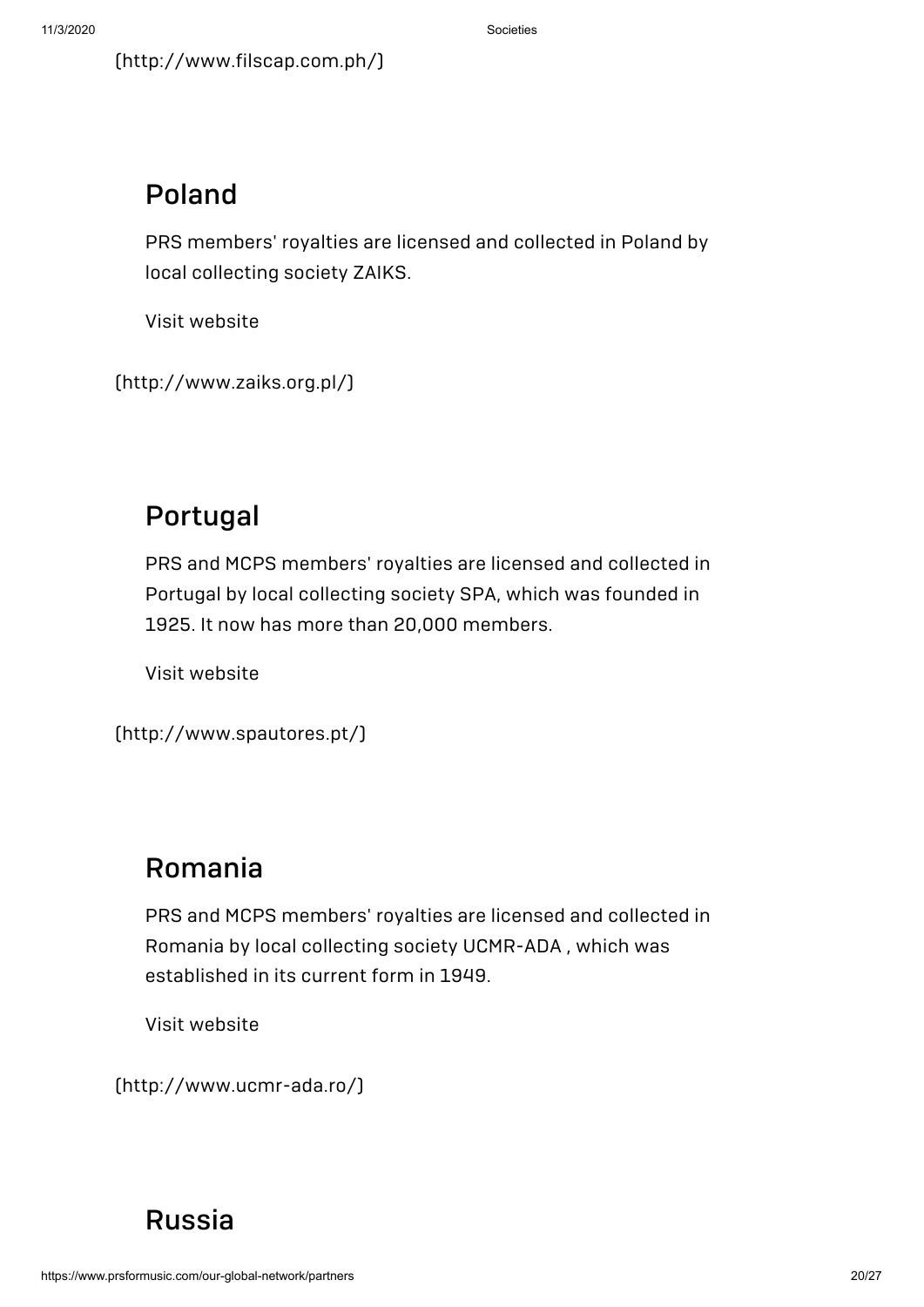[\(http://www.filscap.com.ph/\)](http://www.filscap.com.ph/)

#### Poland

PRS members' royalties are licensed and collected in Poland by local collecting society ZAIKS.

Visit website

[\(http://www.zaiks.org.pl/\)](http://www.zaiks.org.pl/)

## Portugal

PRS and MCPS members' royalties are licensed and collected in Portugal by local collecting society SPA, which was founded in 1925. It now has more than 20,000 members.

Visit website

```
(http://www.spautores.pt/)
```
## Romania

PRS and MCPS members' royalties are licensed and collected in Romania by local collecting society UCMR-ADA , which was established in its current form in 1949.

Visit website

[\(http://www.ucmr-ada.ro/\)](http://www.ucmr-ada.ro/)

## [Russia](http://rao.ru/)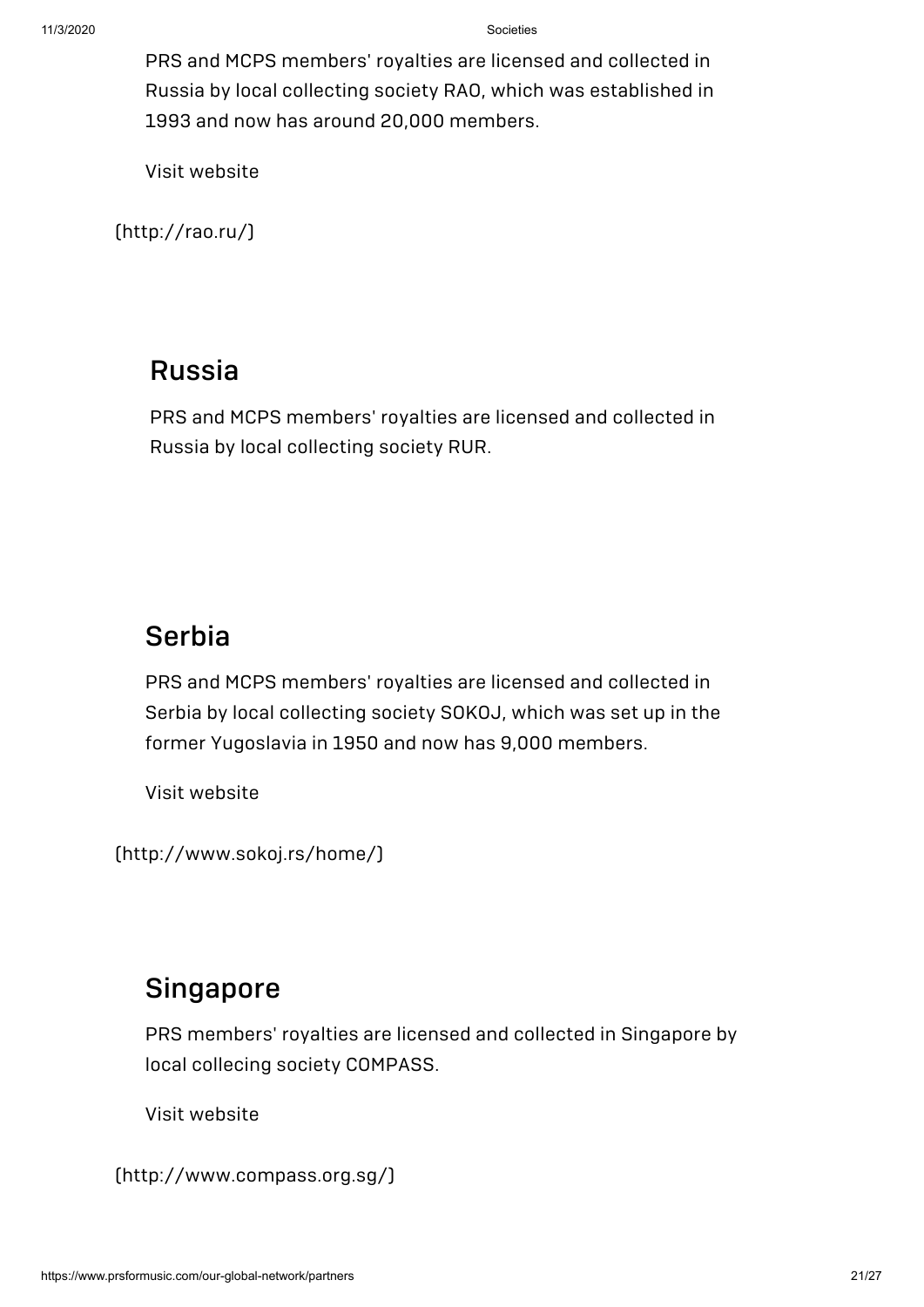PRS and MCPS members' royalties are licensed and collected in Russia by local collecting society RAO, which was established in 1993 and now has around 20,000 members.

Visit website

[\(http://rao.ru/\)](http://rao.ru/)

#### Russia

PRS and MCPS members' royalties are licensed and collected in Russia by local collecting society RUR.

#### **Serbia**

PRS and MCPS members' royalties are licensed and collected in Serbia by local collecting society SOKOJ, which was set up in the former Yugoslavia in 1950 and now has 9,000 members.

Visit website

[\(http://www.sokoj.rs/home/\)](http://www.sokoj.rs/home/)

#### **Singapore**

PRS members' royalties are licensed and collected in Singapore by local collecing society COMPASS.

Visit website

[\(http://www.compass.org.sg/\)](http://www.compass.org.sg/)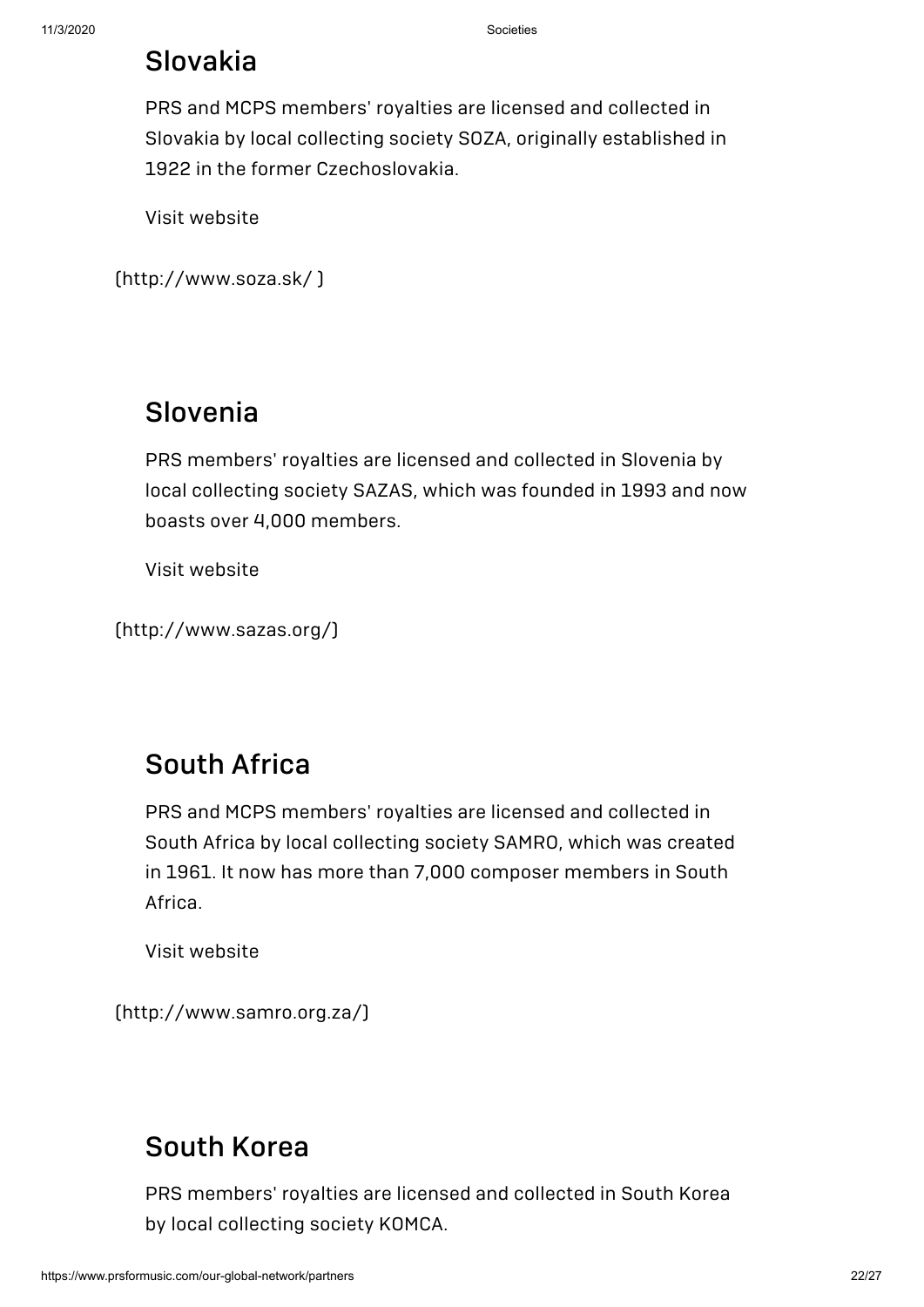#### Slovakia

PRS and MCPS members' royalties are licensed and collected in Slovakia by local collecting society SOZA, originally established in 1922 in the former Czechoslovakia.

Visit website

[\(http://www.soza.sk/](http://www.soza.sk/) )

## Slovenia

PRS members' royalties are licensed and collected in Slovenia by local collecting society SAZAS, which was founded in 1993 and now boasts over 4,000 members.

Visit website

```
(http://www.sazas.org/)
```
## South Africa

PRS and MCPS members' royalties are licensed and collected in South Africa by local collecting society SAMRO, which was created in 1961. It now has more than 7,000 composer members in South Africa.

Visit website

[\(http://www.samro.org.za/\)](http://www.samro.org.za/)

#### [South](https://www.komca.or.kr/CTLJSP) Korea

PRS members' royalties are licensed and collected in South Korea by local collecting society KOMCA.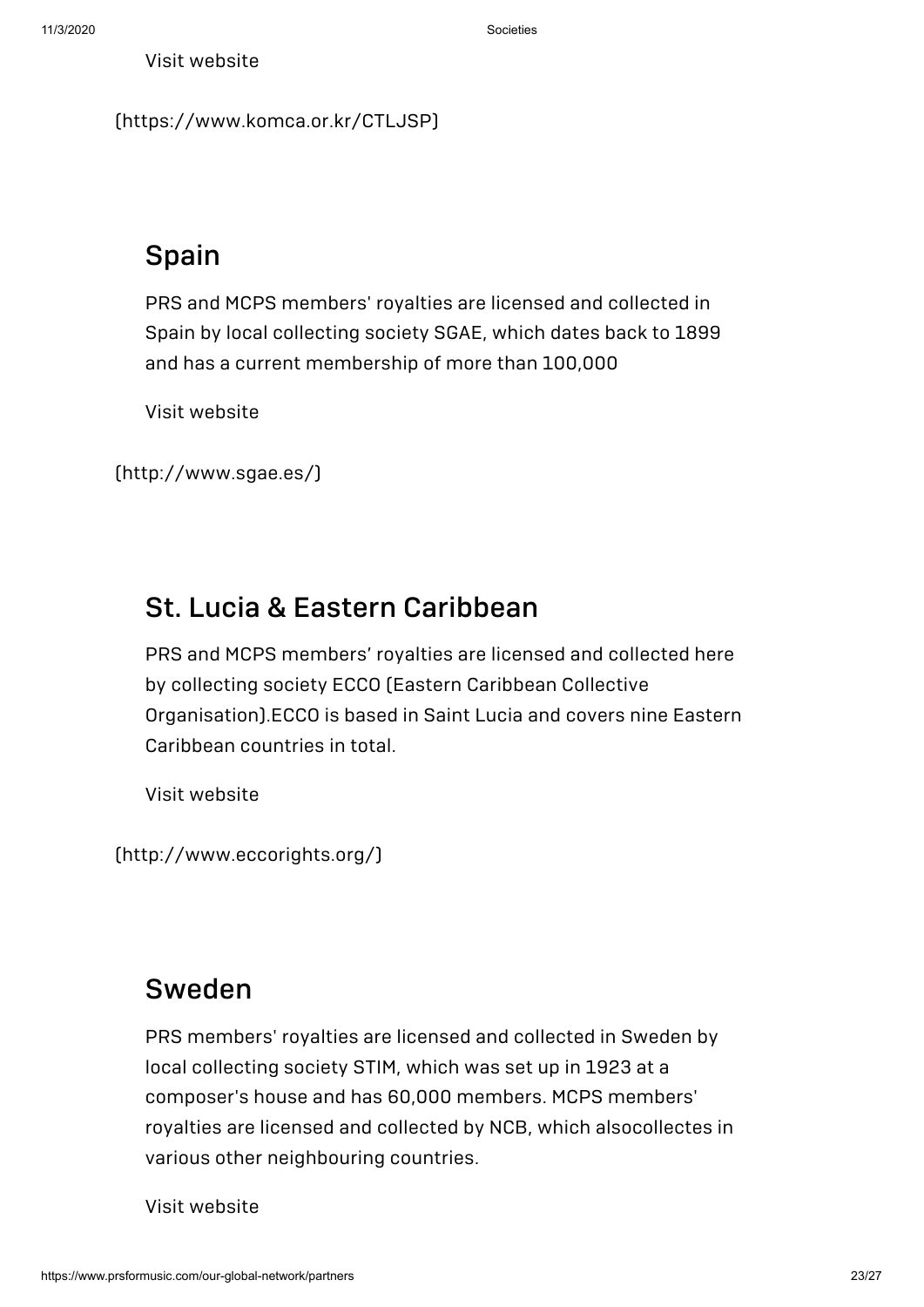[\(https://www.komca.or.kr/CTLJSP\)](https://www.komca.or.kr/CTLJSP)

## Spain

PRS and MCPS members' royalties are licensed and collected in Spain by local collecting society SGAE, which dates back to 1899 and has a current membership of more than 100,000

Visit website

[\(http://www.sgae.es/\)](http://www.sgae.es/)

#### St. Lucia & Eastern Caribbean

PRS and MCPS members' royalties are licensed and collected here by collecting society ECCO (Eastern Caribbean Collective Organisation).ECCO is based in Saint Lucia and covers nine Eastern Caribbean countries in total.

Visit website

[\(http://www.eccorights.org/\)](http://www.eccorights.org/)

## [Sweden](http://www.stim.se/)

PRS members' royalties are licensed and collected in Sweden by local collecting society STIM, which was set up in 1923 at a composer's house and has 60,000 members. MCPS members' royalties are licensed and collected by NCB, which alsocollectes in various other neighbouring countries.

Visit website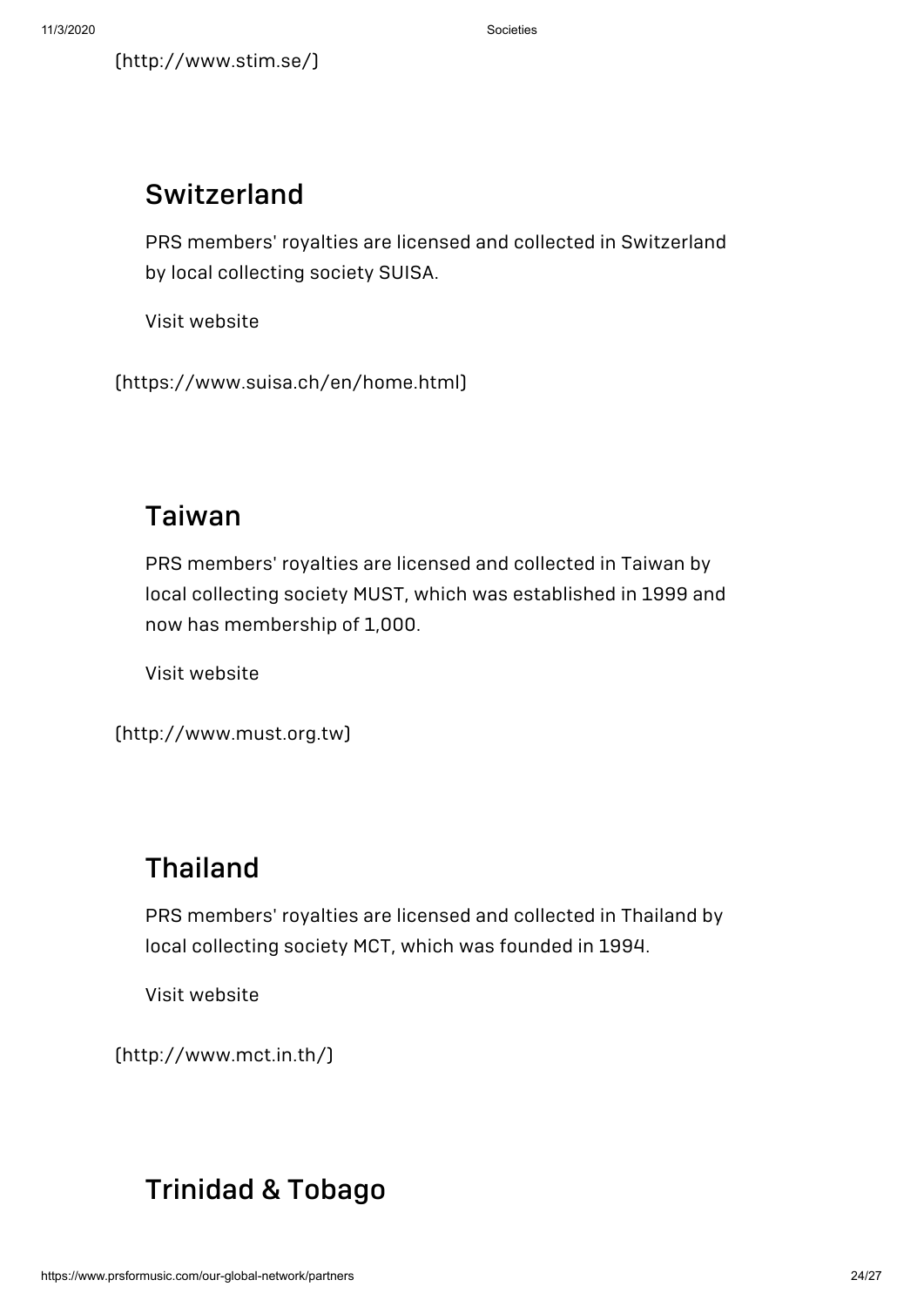## Switzerland

PRS members' royalties are licensed and collected in Switzerland by local collecting society SUISA.

Visit website

[\(https://www.suisa.ch/en/home.html\)](https://www.suisa.ch/en/home.html)

## Taiwan

PRS members' royalties are licensed and collected in Taiwan by local collecting society MUST, which was established in 1999 and now has membership of 1,000.

Visit website

```
(http://www.must.org.tw)
```
## Thailand

PRS members' royalties are licensed and collected in Thailand by local collecting society MCT, which was founded in 1994.

Visit website

[\(http://www.mct.in.th/\)](http://www.mct.in.th/)

## [Trinidad](http://www.cott.org.tt/) & Tobago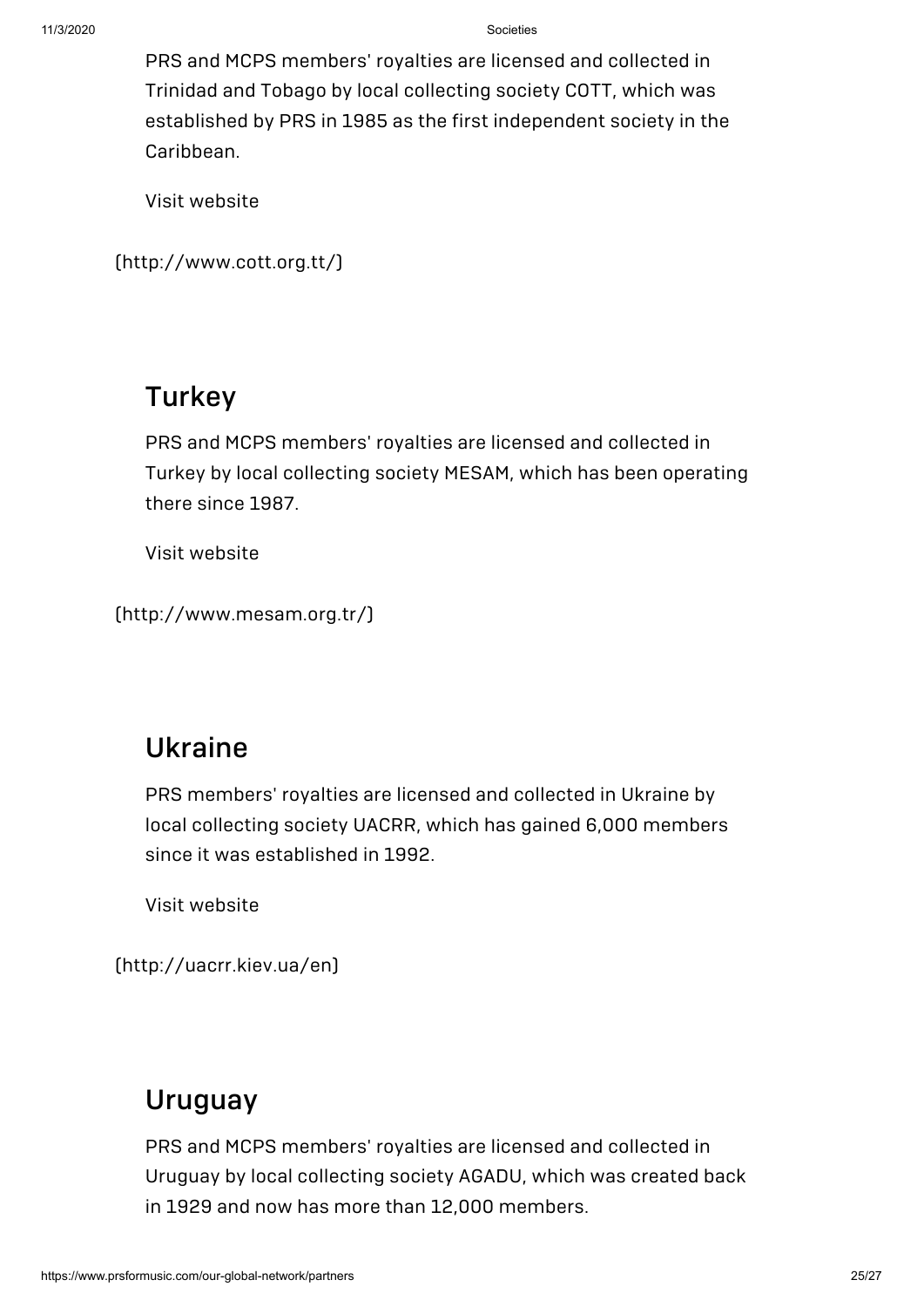PRS and MCPS members' royalties are licensed and collected in Trinidad and Tobago by local collecting society COTT, which was established by PRS in 1985 as the first independent society in the Caribbean.

Visit website

```
(http://www.cott.org.tt/)
```
#### **Turkey**

PRS and MCPS members' royalties are licensed and collected in Turkey by local collecting society MESAM, which has been operating there since 1987.

Visit website

[\(http://www.mesam.org.tr/\)](http://www.mesam.org.tr/)

### Ukraine

PRS members' royalties are licensed and collected in Ukraine by local collecting society UACRR, which has gained 6,000 members since it was established in 1992.

Visit website

[\(http://uacrr.kiev.ua/en\)](http://uacrr.kiev.ua/en)

## [Uruguay](http://www.agadu.com.uy/)

PRS and MCPS members' royalties are licensed and collected in Uruguay by local collecting society AGADU, which was created back in 1929 and now has more than 12,000 members.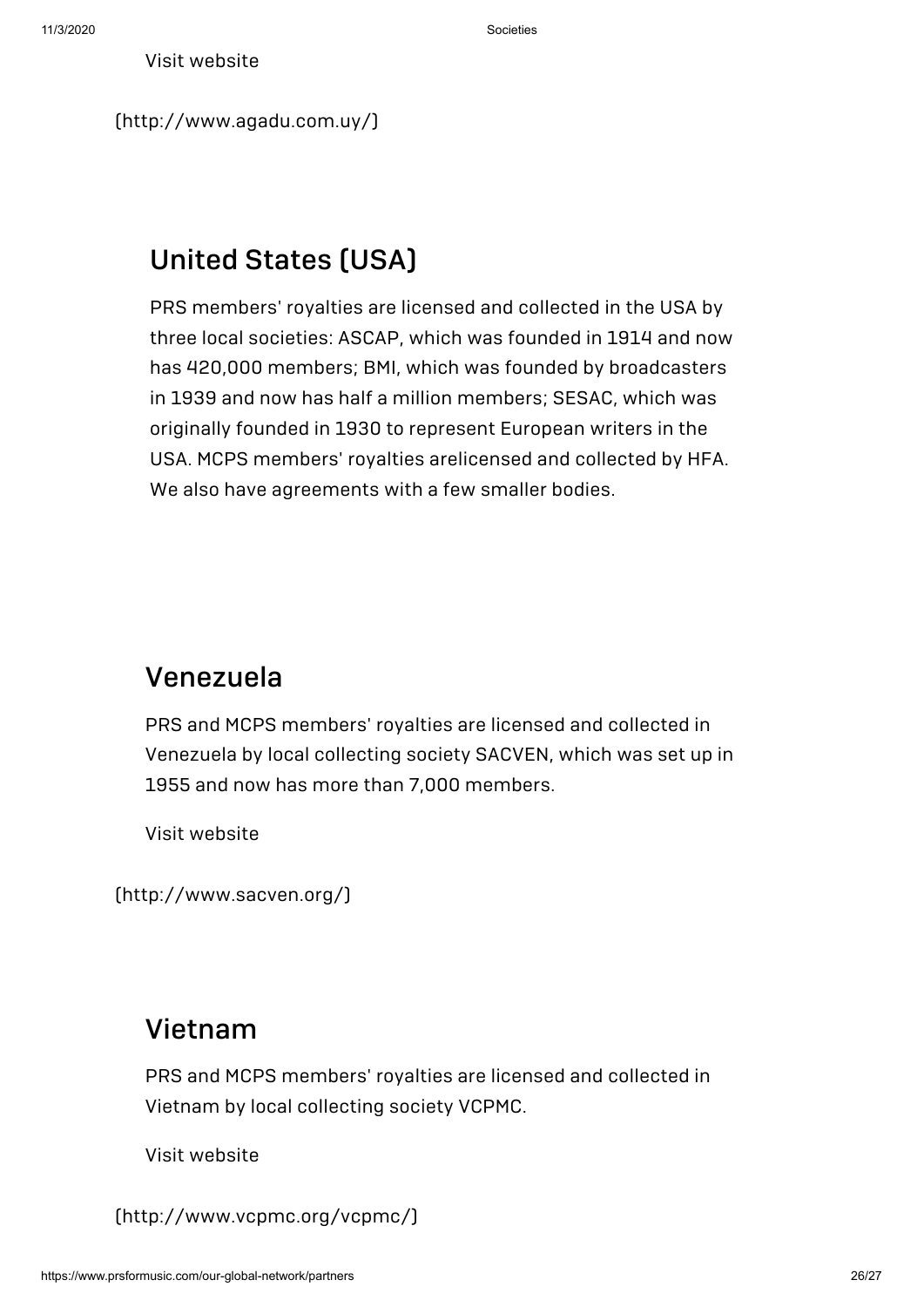[\(http://www.agadu.com.uy/\)](http://www.agadu.com.uy/)

## United States (USA)

PRS members' royalties are licensed and collected in the USA by three local societies: ASCAP, which was founded in 1914 and now has 420,000 members; BMI, which was founded by broadcasters in 1939 and now has half a million members; SESAC, which was originally founded in 1930 to represent European writers in the USA. MCPS members' royalties arelicensed and collected by HFA. We also have agreements with a few smaller bodies.

## Venezuela

PRS and MCPS members' royalties are licensed and collected in Venezuela by local collecting society SACVEN, which was set up in 1955 and now has more than 7,000 members.

Visit website

[\(http://www.sacven.org/\)](http://www.sacven.org/)

#### Vietnam

PRS and MCPS members' royalties are licensed and collected in Vietnam by local collecting society VCPMC.

Visit website

[\(http://www.vcpmc.org/vcpmc/\)](http://www.vcpmc.org/vcpmc/)